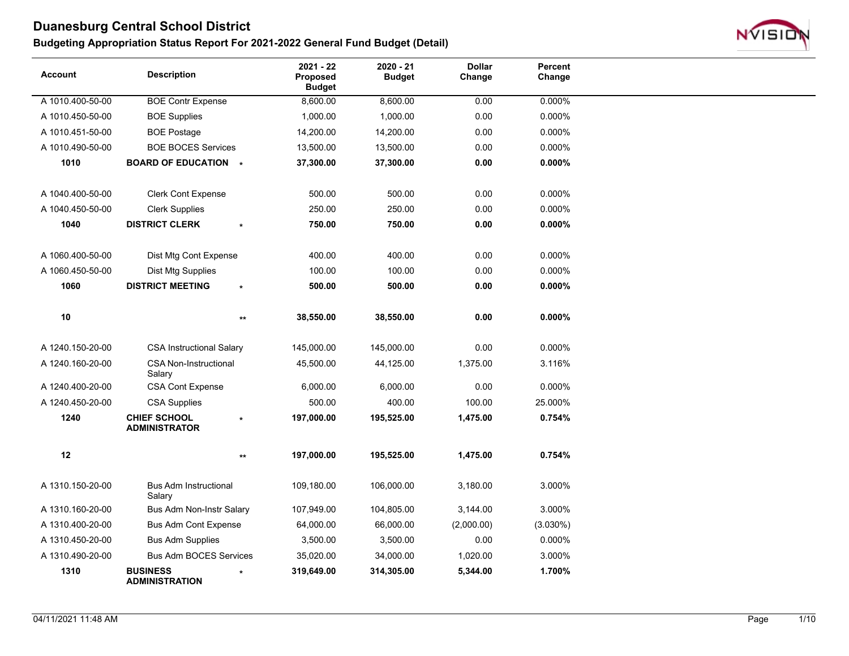

| <b>Account</b>   | <b>Description</b>                          | $2021 - 22$<br>Proposed<br><b>Budget</b> | $2020 - 21$<br><b>Budget</b> | <b>Dollar</b><br>Change | Percent<br>Change |  |
|------------------|---------------------------------------------|------------------------------------------|------------------------------|-------------------------|-------------------|--|
| A 1010.400-50-00 | <b>BOE Contr Expense</b>                    | 8,600.00                                 | 8,600.00                     | 0.00                    | 0.000%            |  |
| A 1010.450-50-00 | <b>BOE Supplies</b>                         | 1,000.00                                 | 1,000.00                     | 0.00                    | 0.000%            |  |
| A 1010.451-50-00 | <b>BOE Postage</b>                          | 14,200.00                                | 14,200.00                    | 0.00                    | 0.000%            |  |
| A 1010.490-50-00 | <b>BOE BOCES Services</b>                   | 13,500.00                                | 13,500.00                    | 0.00                    | 0.000%            |  |
| 1010             | <b>BOARD OF EDUCATION *</b>                 | 37,300.00                                | 37,300.00                    | 0.00                    | $0.000\%$         |  |
| A 1040.400-50-00 | <b>Clerk Cont Expense</b>                   | 500.00                                   | 500.00                       | 0.00                    | 0.000%            |  |
| A 1040.450-50-00 | <b>Clerk Supplies</b>                       | 250.00                                   | 250.00                       | 0.00                    | 0.000%            |  |
| 1040             | <b>DISTRICT CLERK</b>                       | 750.00                                   | 750.00                       | 0.00                    | $0.000\%$         |  |
|                  |                                             |                                          |                              |                         |                   |  |
| A 1060.400-50-00 | Dist Mtg Cont Expense                       | 400.00                                   | 400.00                       | 0.00                    | 0.000%            |  |
| A 1060.450-50-00 | Dist Mtg Supplies                           | 100.00                                   | 100.00                       | 0.00                    | 0.000%            |  |
| 1060             | <b>DISTRICT MEETING</b><br>$\star$          | 500.00                                   | 500.00                       | 0.00                    | $0.000\%$         |  |
|                  |                                             |                                          |                              |                         |                   |  |
| $10$             | $***$                                       | 38,550.00                                | 38,550.00                    | 0.00                    | $0.000\%$         |  |
| A 1240.150-20-00 | <b>CSA Instructional Salary</b>             | 145,000.00                               | 145,000.00                   | 0.00                    | 0.000%            |  |
| A 1240.160-20-00 | <b>CSA Non-Instructional</b><br>Salary      | 45,500.00                                | 44,125.00                    | 1,375.00                | 3.116%            |  |
| A 1240.400-20-00 | <b>CSA Cont Expense</b>                     | 6,000.00                                 | 6,000.00                     | 0.00                    | 0.000%            |  |
| A 1240.450-20-00 | <b>CSA Supplies</b>                         | 500.00                                   | 400.00                       | 100.00                  | 25.000%           |  |
| 1240             | <b>CHIEF SCHOOL</b><br><b>ADMINISTRATOR</b> | 197,000.00                               | 195,525.00                   | 1,475.00                | 0.754%            |  |
| 12               | $\star\star$                                | 197,000.00                               | 195,525.00                   | 1,475.00                | 0.754%            |  |
| A 1310.150-20-00 | <b>Bus Adm Instructional</b><br>Salary      | 109,180.00                               | 106,000.00                   | 3,180.00                | 3.000%            |  |
| A 1310.160-20-00 | Bus Adm Non-Instr Salary                    | 107,949.00                               | 104,805.00                   | 3,144.00                | 3.000%            |  |
| A 1310.400-20-00 | <b>Bus Adm Cont Expense</b>                 | 64,000.00                                | 66,000.00                    | (2,000.00)              | $(3.030\%)$       |  |
| A 1310.450-20-00 | <b>Bus Adm Supplies</b>                     | 3,500.00                                 | 3,500.00                     | 0.00                    | 0.000%            |  |
| A 1310.490-20-00 | <b>Bus Adm BOCES Services</b>               | 35,020.00                                | 34,000.00                    | 1,020.00                | 3.000%            |  |
| 1310             | <b>BUSINESS</b><br><b>ADMINISTRATION</b>    | 319,649.00                               | 314,305.00                   | 5,344.00                | 1.700%            |  |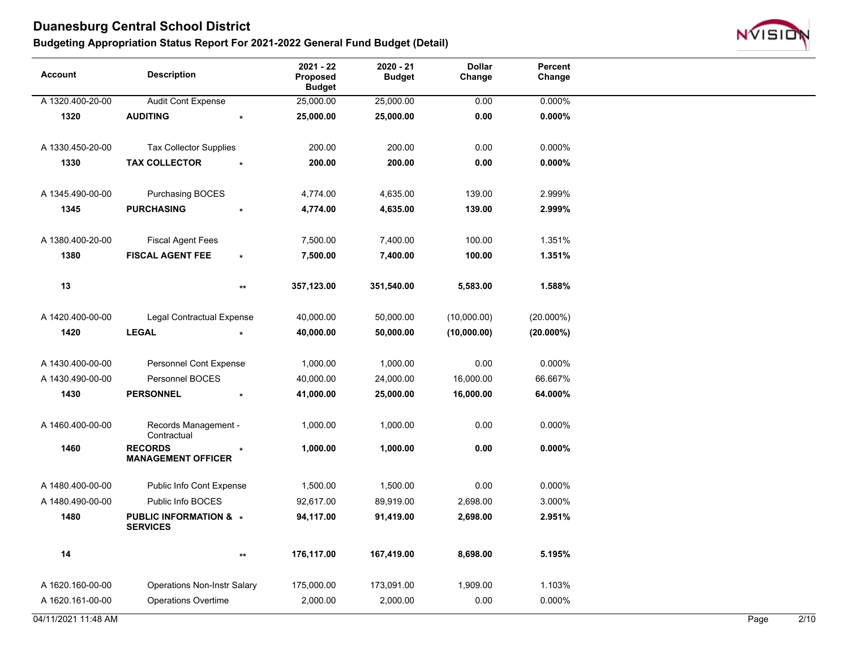

| <b>Account</b>      | <b>Description</b>                          | 2021 - 22<br><b>Proposed</b><br><b>Budget</b> | 2020 - 21<br><b>Budget</b> | <b>Dollar</b><br>Change | Percent<br>Change |      |                |
|---------------------|---------------------------------------------|-----------------------------------------------|----------------------------|-------------------------|-------------------|------|----------------|
| A 1320.400-20-00    | <b>Audit Cont Expense</b>                   | 25,000.00                                     | 25,000.00                  | 0.00                    | 0.000%            |      |                |
| 1320                | <b>AUDITING</b>                             | 25,000.00                                     | 25,000.00                  | 0.00                    | $0.000\%$         |      |                |
| A 1330.450-20-00    | <b>Tax Collector Supplies</b>               | 200.00                                        | 200.00                     | 0.00                    | 0.000%            |      |                |
| 1330                | <b>TAX COLLECTOR</b>                        | 200.00                                        | 200.00                     | 0.00                    | $0.000\%$         |      |                |
| A 1345.490-00-00    | Purchasing BOCES                            | 4,774.00                                      | 4,635.00                   | 139.00                  | 2.999%            |      |                |
| 1345                | <b>PURCHASING</b>                           | 4,774.00                                      | 4,635.00                   | 139.00                  | 2.999%            |      |                |
| A 1380.400-20-00    | <b>Fiscal Agent Fees</b>                    | 7,500.00                                      | 7,400.00                   | 100.00                  | 1.351%            |      |                |
| 1380                | <b>FISCAL AGENT FEE</b><br>$\star$          | 7,500.00                                      | 7,400.00                   | 100.00                  | 1.351%            |      |                |
| 13                  | $\star\star$                                | 357,123.00                                    | 351,540.00                 | 5,583.00                | 1.588%            |      |                |
| A 1420.400-00-00    | <b>Legal Contractual Expense</b>            | 40,000.00                                     | 50,000.00                  | (10,000.00)             | $(20.000\%)$      |      |                |
| 1420                | <b>LEGAL</b>                                | 40,000.00                                     | 50,000.00                  | (10,000.00)             | $(20.000\%)$      |      |                |
| A 1430.400-00-00    | Personnel Cont Expense                      | 1,000.00                                      | 1,000.00                   | 0.00                    | 0.000%            |      |                |
| A 1430.490-00-00    | Personnel BOCES                             | 40,000.00                                     | 24,000.00                  | 16,000.00               | 66.667%           |      |                |
| 1430                | <b>PERSONNEL</b><br>$\star$                 | 41,000.00                                     | 25,000.00                  | 16,000.00               | 64.000%           |      |                |
| A 1460.400-00-00    | Records Management -<br>Contractual         | 1,000.00                                      | 1,000.00                   | 0.00                    | 0.000%            |      |                |
| 1460                | <b>RECORDS</b><br><b>MANAGEMENT OFFICER</b> | 1,000.00                                      | 1,000.00                   | 0.00                    | 0.000%            |      |                |
| A 1480.400-00-00    | Public Info Cont Expense                    | 1,500.00                                      | 1,500.00                   | 0.00                    | 0.000%            |      |                |
| A 1480.490-00-00    | Public Info BOCES                           | 92,617.00                                     | 89,919.00                  | 2,698.00                | 3.000%            |      |                |
| 1480                | PUBLIC INFORMATION & *<br><b>SERVICES</b>   | 94,117.00                                     | 91,419.00                  | 2,698.00                | 2.951%            |      |                |
| 14                  | $^{\star\star}$                             | 176,117.00                                    | 167,419.00                 | 8,698.00                | 5.195%            |      |                |
| A 1620.160-00-00    | <b>Operations Non-Instr Salary</b>          | 175,000.00                                    | 173,091.00                 | 1,909.00                | 1.103%            |      |                |
| A 1620.161-00-00    | <b>Operations Overtime</b>                  | 2,000.00                                      | 2,000.00                   | 0.00                    | 0.000%            |      |                |
| 04/11/2021 11:48 AM |                                             |                                               |                            |                         |                   | Page | $\frac{2}{10}$ |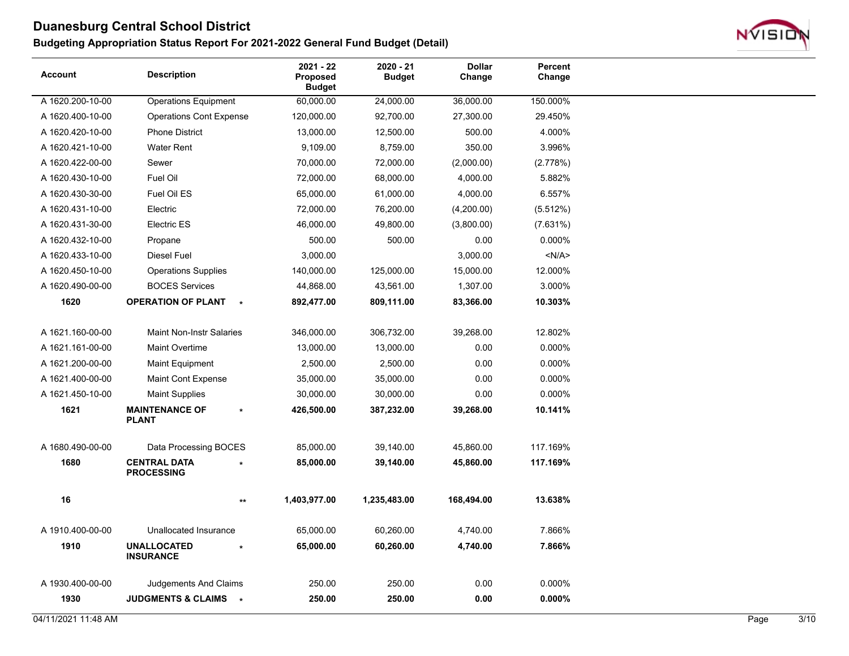

| <b>Account</b>   | <b>Description</b>                                  | 2021 - 22<br><b>Proposed</b><br><b>Budget</b> | 2020 - 21<br><b>Budget</b> | <b>Dollar</b><br>Change | Percent<br>Change |  |
|------------------|-----------------------------------------------------|-----------------------------------------------|----------------------------|-------------------------|-------------------|--|
| A 1620.200-10-00 | <b>Operations Equipment</b>                         | 60,000.00                                     | 24,000.00                  | 36,000.00               | 150.000%          |  |
| A 1620.400-10-00 | <b>Operations Cont Expense</b>                      | 120,000.00                                    | 92,700.00                  | 27,300.00               | 29.450%           |  |
| A 1620.420-10-00 | <b>Phone District</b>                               | 13,000.00                                     | 12,500.00                  | 500.00                  | 4.000%            |  |
| A 1620.421-10-00 | <b>Water Rent</b>                                   | 9,109.00                                      | 8,759.00                   | 350.00                  | 3.996%            |  |
| A 1620.422-00-00 | Sewer                                               | 70,000.00                                     | 72,000.00                  | (2,000.00)              | (2.778%)          |  |
| A 1620.430-10-00 | Fuel Oil                                            | 72,000.00                                     | 68,000.00                  | 4,000.00                | 5.882%            |  |
| A 1620.430-30-00 | Fuel Oil ES                                         | 65,000.00                                     | 61,000.00                  | 4,000.00                | 6.557%            |  |
| A 1620.431-10-00 | Electric                                            | 72,000.00                                     | 76,200.00                  | (4,200.00)              | (5.512%)          |  |
| A 1620.431-30-00 | <b>Electric ES</b>                                  | 46,000.00                                     | 49,800.00                  | (3,800.00)              | (7.631%)          |  |
| A 1620.432-10-00 | Propane                                             | 500.00                                        | 500.00                     | 0.00                    | 0.000%            |  |
| A 1620.433-10-00 | Diesel Fuel                                         | 3,000.00                                      |                            | 3,000.00                | < N/A >           |  |
| A 1620.450-10-00 | <b>Operations Supplies</b>                          | 140,000.00                                    | 125,000.00                 | 15,000.00               | 12.000%           |  |
| A 1620.490-00-00 | <b>BOCES Services</b>                               | 44,868.00                                     | 43,561.00                  | 1,307.00                | 3.000%            |  |
| 1620             | <b>OPERATION OF PLANT</b><br>$\star$                | 892,477.00                                    | 809,111.00                 | 83,366.00               | 10.303%           |  |
|                  |                                                     |                                               |                            |                         |                   |  |
| A 1621.160-00-00 | <b>Maint Non-Instr Salaries</b>                     | 346,000.00                                    | 306,732.00                 | 39,268.00               | 12.802%           |  |
| A 1621.161-00-00 | <b>Maint Overtime</b>                               | 13,000.00                                     | 13,000.00                  | 0.00                    | 0.000%            |  |
| A 1621.200-00-00 | <b>Maint Equipment</b>                              | 2,500.00                                      | 2,500.00                   | 0.00                    | 0.000%            |  |
| A 1621.400-00-00 | Maint Cont Expense                                  | 35,000.00                                     | 35,000.00                  | 0.00                    | 0.000%            |  |
| A 1621.450-10-00 | <b>Maint Supplies</b>                               | 30,000.00                                     | 30,000.00                  | 0.00                    | 0.000%            |  |
| 1621             | <b>MAINTENANCE OF</b><br>$\star$<br><b>PLANT</b>    | 426,500.00                                    | 387,232.00                 | 39,268.00               | 10.141%           |  |
| A 1680.490-00-00 | Data Processing BOCES                               | 85,000.00                                     | 39,140.00                  | 45,860.00               | 117.169%          |  |
| 1680             | <b>CENTRAL DATA</b><br>$\star$<br><b>PROCESSING</b> | 85,000.00                                     | 39,140.00                  | 45,860.00               | 117.169%          |  |
| 16               | $^{\star\star}$                                     | 1,403,977.00                                  | 1,235,483.00               | 168,494.00              | 13.638%           |  |
| A 1910.400-00-00 | Unallocated Insurance                               | 65,000.00                                     | 60,260.00                  | 4,740.00                | 7.866%            |  |
| 1910             | <b>UNALLOCATED</b><br><b>INSURANCE</b>              | 65,000.00                                     | 60,260.00                  | 4,740.00                | 7.866%            |  |
| A 1930.400-00-00 | Judgements And Claims                               | 250.00                                        | 250.00                     | 0.00                    | 0.000%            |  |
| 1930             | JUDGMENTS & CLAIMS *                                | 250.00                                        | 250.00                     | 0.00                    | 0.000%            |  |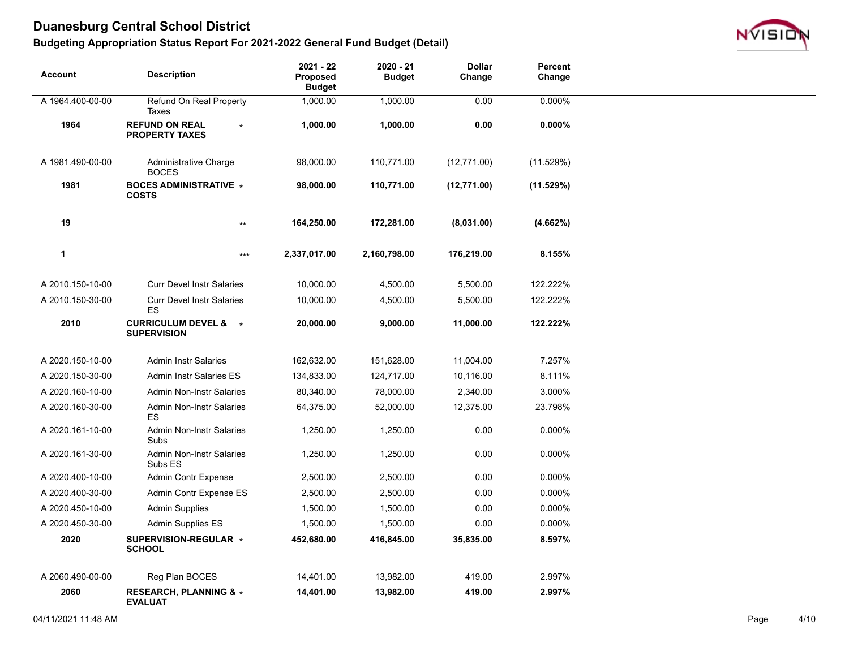

| <b>Account</b>   | <b>Description</b>                                    | 2021 - 22<br>Proposed<br><b>Budget</b> | 2020 - 21<br><b>Budget</b> | <b>Dollar</b><br>Change | Percent<br>Change |  |
|------------------|-------------------------------------------------------|----------------------------------------|----------------------------|-------------------------|-------------------|--|
| A 1964.400-00-00 | Refund On Real Property<br>Taxes                      | 1,000.00                               | 1,000.00                   | 0.00                    | 0.000%            |  |
| 1964             | <b>REFUND ON REAL</b><br><b>PROPERTY TAXES</b>        | 1,000.00                               | 1,000.00                   | 0.00                    | $0.000\%$         |  |
| A 1981.490-00-00 | Administrative Charge<br><b>BOCES</b>                 | 98,000.00                              | 110,771.00                 | (12,771.00)             | (11.529%)         |  |
| 1981             | <b>BOCES ADMINISTRATIVE *</b><br><b>COSTS</b>         | 98,000.00                              | 110,771.00                 | (12,771.00)             | (11.529%)         |  |
| 19               | $\star\star$                                          | 164,250.00                             | 172,281.00                 | (8,031.00)              | (4.662%)          |  |
| 1                | ***                                                   | 2,337,017.00                           | 2,160,798.00               | 176,219.00              | 8.155%            |  |
| A 2010.150-10-00 | <b>Curr Devel Instr Salaries</b>                      | 10,000.00                              | 4,500.00                   | 5,500.00                | 122.222%          |  |
| A 2010.150-30-00 | <b>Curr Devel Instr Salaries</b><br>ES                | 10,000.00                              | 4,500.00                   | 5,500.00                | 122.222%          |  |
| 2010             | <b>CURRICULUM DEVEL &amp; *</b><br><b>SUPERVISION</b> | 20,000.00                              | 9,000.00                   | 11,000.00               | 122.222%          |  |
| A 2020.150-10-00 | <b>Admin Instr Salaries</b>                           | 162,632.00                             | 151,628.00                 | 11,004.00               | 7.257%            |  |
| A 2020.150-30-00 | <b>Admin Instr Salaries ES</b>                        | 134,833.00                             | 124,717.00                 | 10,116.00               | 8.111%            |  |
| A 2020.160-10-00 | <b>Admin Non-Instr Salaries</b>                       | 80,340.00                              | 78,000.00                  | 2,340.00                | 3.000%            |  |
| A 2020.160-30-00 | <b>Admin Non-Instr Salaries</b><br>ES                 | 64,375.00                              | 52,000.00                  | 12,375.00               | 23.798%           |  |
| A 2020.161-10-00 | <b>Admin Non-Instr Salaries</b><br>Subs               | 1,250.00                               | 1,250.00                   | 0.00                    | 0.000%            |  |
| A 2020.161-30-00 | <b>Admin Non-Instr Salaries</b><br>Subs ES            | 1,250.00                               | 1,250.00                   | 0.00                    | 0.000%            |  |
| A 2020.400-10-00 | <b>Admin Contr Expense</b>                            | 2,500.00                               | 2,500.00                   | 0.00                    | 0.000%            |  |
| A 2020.400-30-00 | Admin Contr Expense ES                                | 2,500.00                               | 2,500.00                   | 0.00                    | 0.000%            |  |
| A 2020.450-10-00 | <b>Admin Supplies</b>                                 | 1,500.00                               | 1,500.00                   | 0.00                    | 0.000%            |  |
| A 2020.450-30-00 | Admin Supplies ES                                     | 1,500.00                               | 1,500.00                   | 0.00                    | 0.000%            |  |
| 2020             | SUPERVISION-REGULAR *<br><b>SCHOOL</b>                | 452,680.00                             | 416,845.00                 | 35,835.00               | 8.597%            |  |
| A 2060.490-00-00 | Reg Plan BOCES                                        | 14,401.00                              | 13,982.00                  | 419.00                  | 2.997%            |  |
| 2060             | <b>RESEARCH, PLANNING &amp; *</b><br><b>EVALUAT</b>   | 14,401.00                              | 13,982.00                  | 419.00                  | 2.997%            |  |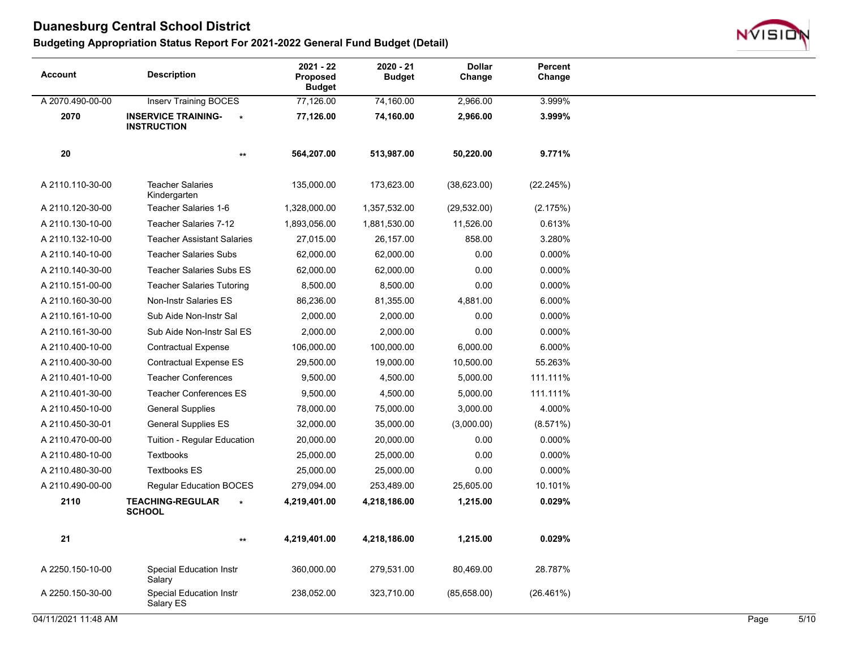

| <b>Account</b>   | <b>Description</b>                                          | $2021 - 22$<br><b>Proposed</b><br><b>Budget</b> | $2020 - 21$<br><b>Budget</b> | <b>Dollar</b><br>Change | Percent<br>Change |  |
|------------------|-------------------------------------------------------------|-------------------------------------------------|------------------------------|-------------------------|-------------------|--|
| A 2070.490-00-00 | <b>Inserv Training BOCES</b>                                | 77,126.00                                       | 74,160.00                    | 2,966.00                | 3.999%            |  |
| 2070             | <b>INSERVICE TRAINING-</b><br>$\star$<br><b>INSTRUCTION</b> | 77,126.00                                       | 74,160.00                    | 2,966.00                | 3.999%            |  |
| 20               | $\star\star$                                                | 564,207.00                                      | 513,987.00                   | 50,220.00               | 9.771%            |  |
| A 2110.110-30-00 | <b>Teacher Salaries</b><br>Kindergarten                     | 135,000.00                                      | 173,623.00                   | (38,623.00)             | (22.245%)         |  |
| A 2110.120-30-00 | Teacher Salaries 1-6                                        | 1,328,000.00                                    | 1,357,532.00                 | (29, 532.00)            | (2.175%)          |  |
| A 2110.130-10-00 | Teacher Salaries 7-12                                       | 1,893,056.00                                    | 1,881,530.00                 | 11,526.00               | 0.613%            |  |
| A 2110.132-10-00 | <b>Teacher Assistant Salaries</b>                           | 27,015.00                                       | 26,157.00                    | 858.00                  | 3.280%            |  |
| A 2110.140-10-00 | <b>Teacher Salaries Subs</b>                                | 62,000.00                                       | 62,000.00                    | 0.00                    | 0.000%            |  |
| A 2110.140-30-00 | <b>Teacher Salaries Subs ES</b>                             | 62,000.00                                       | 62,000.00                    | 0.00                    | 0.000%            |  |
| A 2110.151-00-00 | <b>Teacher Salaries Tutoring</b>                            | 8,500.00                                        | 8,500.00                     | 0.00                    | 0.000%            |  |
| A 2110.160-30-00 | Non-Instr Salaries ES                                       | 86,236.00                                       | 81,355.00                    | 4,881.00                | 6.000%            |  |
| A 2110.161-10-00 | Sub Aide Non-Instr Sal                                      | 2,000.00                                        | 2,000.00                     | 0.00                    | 0.000%            |  |
| A 2110.161-30-00 | Sub Aide Non-Instr Sal ES                                   | 2,000.00                                        | 2,000.00                     | 0.00                    | 0.000%            |  |
| A 2110.400-10-00 | <b>Contractual Expense</b>                                  | 106,000.00                                      | 100,000.00                   | 6,000.00                | 6.000%            |  |
| A 2110.400-30-00 | <b>Contractual Expense ES</b>                               | 29,500.00                                       | 19,000.00                    | 10,500.00               | 55.263%           |  |
| A 2110.401-10-00 | <b>Teacher Conferences</b>                                  | 9,500.00                                        | 4,500.00                     | 5,000.00                | 111.111%          |  |
| A 2110.401-30-00 | <b>Teacher Conferences ES</b>                               | 9,500.00                                        | 4,500.00                     | 5,000.00                | 111.111%          |  |
| A 2110.450-10-00 | <b>General Supplies</b>                                     | 78,000.00                                       | 75,000.00                    | 3,000.00                | 4.000%            |  |
| A 2110.450-30-01 | <b>General Supplies ES</b>                                  | 32,000.00                                       | 35,000.00                    | (3,000.00)              | (8.571%)          |  |
| A 2110.470-00-00 | Tuition - Regular Education                                 | 20,000.00                                       | 20,000.00                    | 0.00                    | 0.000%            |  |
| A 2110.480-10-00 | Textbooks                                                   | 25,000.00                                       | 25,000.00                    | 0.00                    | 0.000%            |  |
| A 2110.480-30-00 | <b>Textbooks ES</b>                                         | 25,000.00                                       | 25,000.00                    | 0.00                    | 0.000%            |  |
| A 2110.490-00-00 | <b>Regular Education BOCES</b>                              | 279,094.00                                      | 253,489.00                   | 25,605.00               | 10.101%           |  |
| 2110             | <b>TEACHING-REGULAR</b><br><b>SCHOOL</b>                    | 4,219,401.00                                    | 4,218,186.00                 | 1,215.00                | 0.029%            |  |
| 21               | $\star\star$                                                | 4,219,401.00                                    | 4,218,186.00                 | 1,215.00                | 0.029%            |  |
| A 2250.150-10-00 | <b>Special Education Instr</b><br>Salary                    | 360,000.00                                      | 279,531.00                   | 80,469.00               | 28.787%           |  |
| A 2250.150-30-00 | <b>Special Education Instr</b><br>Salary ES                 | 238,052.00                                      | 323,710.00                   | (85,658.00)             | (26.461%)         |  |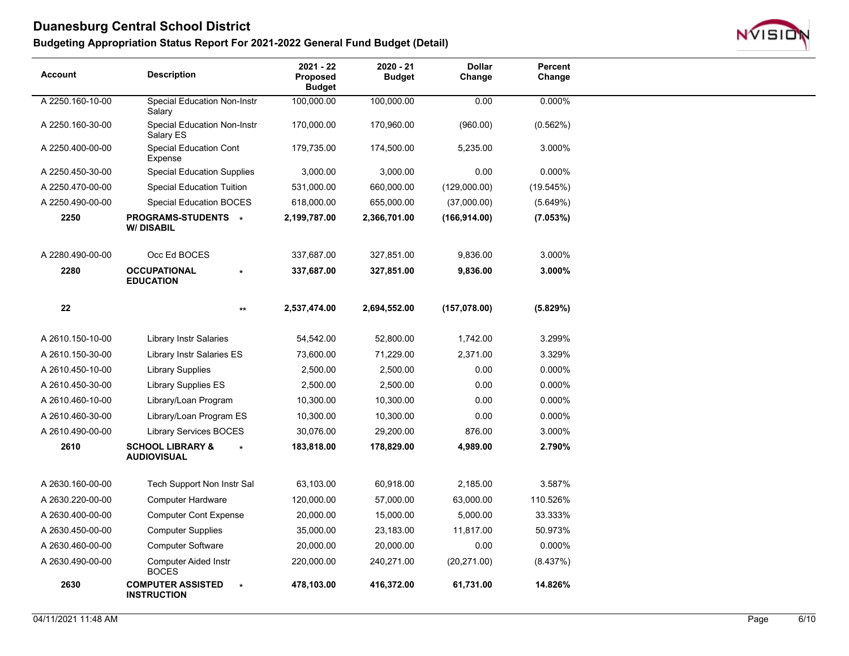

| <b>Account</b>   | <b>Description</b>                                | 2021 - 22<br>Proposed<br><b>Budget</b> | 2020 - 21<br><b>Budget</b> | <b>Dollar</b><br>Change | Percent<br>Change |
|------------------|---------------------------------------------------|----------------------------------------|----------------------------|-------------------------|-------------------|
| A 2250.160-10-00 | <b>Special Education Non-Instr</b><br>Salary      | 100,000.00                             | 100,000.00                 | 0.00                    | 0.000%            |
| A 2250.160-30-00 | <b>Special Education Non-Instr</b><br>Salary ES   | 170,000.00                             | 170,960.00                 | (960.00)                | (0.562%)          |
| A 2250.400-00-00 | <b>Special Education Cont</b><br>Expense          | 179,735.00                             | 174,500.00                 | 5,235.00                | 3.000%            |
| A 2250.450-30-00 | <b>Special Education Supplies</b>                 | 3,000.00                               | 3,000.00                   | 0.00                    | 0.000%            |
| A 2250.470-00-00 | <b>Special Education Tuition</b>                  | 531,000.00                             | 660,000.00                 | (129,000.00)            | (19.545%)         |
| A 2250.490-00-00 | Special Education BOCES                           | 618,000.00                             | 655,000.00                 | (37,000.00)             | (5.649%)          |
| 2250             | <b>PROGRAMS-STUDENTS *</b><br><b>W/DISABIL</b>    | 2,199,787.00                           | 2,366,701.00               | (166, 914.00)           | (7.053%)          |
| A 2280.490-00-00 | Occ Ed BOCES                                      | 337,687.00                             | 327,851.00                 | 9,836.00                | 3.000%            |
| 2280             | <b>OCCUPATIONAL</b><br><b>EDUCATION</b>           | 337,687.00                             | 327,851.00                 | 9,836.00                | 3.000%            |
| 22               |                                                   | 2,537,474.00<br>$^{\star\star}$        | 2,694,552.00               | (157, 078.00)           | (5.829%)          |
| A 2610.150-10-00 | <b>Library Instr Salaries</b>                     | 54,542.00                              | 52,800.00                  | 1,742.00                | 3.299%            |
| A 2610.150-30-00 | Library Instr Salaries ES                         | 73,600.00                              | 71,229.00                  | 2,371.00                | 3.329%            |
| A 2610.450-10-00 | <b>Library Supplies</b>                           | 2,500.00                               | 2,500.00                   | 0.00                    | 0.000%            |
| A 2610.450-30-00 | <b>Library Supplies ES</b>                        | 2,500.00                               | 2,500.00                   | 0.00                    | 0.000%            |
| A 2610.460-10-00 | Library/Loan Program                              | 10,300.00                              | 10,300.00                  | 0.00                    | 0.000%            |
| A 2610.460-30-00 | Library/Loan Program ES                           | 10,300.00                              | 10,300.00                  | 0.00                    | 0.000%            |
| A 2610.490-00-00 | <b>Library Services BOCES</b>                     | 30,076.00                              | 29,200.00                  | 876.00                  | 3.000%            |
| 2610             | <b>SCHOOL LIBRARY &amp;</b><br><b>AUDIOVISUAL</b> | 183,818.00                             | 178,829.00                 | 4,989.00                | 2.790%            |
| A 2630.160-00-00 | Tech Support Non Instr Sal                        | 63,103.00                              | 60,918.00                  | 2,185.00                | 3.587%            |
| A 2630.220-00-00 | Computer Hardware                                 | 120,000.00                             | 57,000.00                  | 63,000.00               | 110.526%          |
| A 2630.400-00-00 | <b>Computer Cont Expense</b>                      | 20,000.00                              | 15,000.00                  | 5,000.00                | 33.333%           |
| A 2630.450-00-00 | <b>Computer Supplies</b>                          | 35,000.00                              | 23,183.00                  | 11,817.00               | 50.973%           |
| A 2630.460-00-00 | <b>Computer Software</b>                          | 20,000.00                              | 20,000.00                  | 0.00                    | 0.000%            |
| A 2630.490-00-00 | <b>Computer Aided Instr</b><br><b>BOCES</b>       | 220,000.00                             | 240,271.00                 | (20, 271.00)            | (8.437%)          |
| 2630             | <b>COMPUTER ASSISTED</b><br><b>INSTRUCTION</b>    | 478,103.00<br>$\star$                  | 416,372.00                 | 61,731.00               | 14.826%           |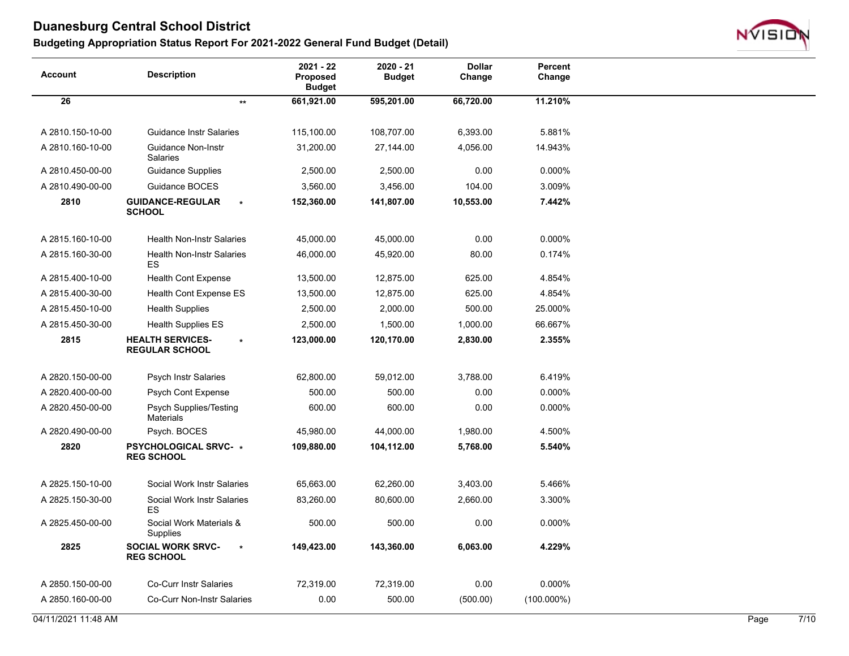

| <b>Account</b>      | <b>Description</b>                                          | 2021 - 22<br>Proposed<br><b>Budget</b> | 2020 - 21<br><b>Budget</b> | <b>Dollar</b><br>Change | Percent<br>Change |      |                |
|---------------------|-------------------------------------------------------------|----------------------------------------|----------------------------|-------------------------|-------------------|------|----------------|
| 26                  | $\star\star$                                                | 661,921.00                             | 595,201.00                 | 66,720.00               | 11.210%           |      |                |
|                     |                                                             |                                        |                            |                         |                   |      |                |
| A 2810.150-10-00    | <b>Guidance Instr Salaries</b>                              | 115,100.00                             | 108,707.00                 | 6,393.00                | 5.881%            |      |                |
| A 2810.160-10-00    | <b>Guidance Non-Instr</b><br>Salaries                       | 31,200.00                              | 27,144.00                  | 4,056.00                | 14.943%           |      |                |
| A 2810.450-00-00    | <b>Guidance Supplies</b>                                    | 2,500.00                               | 2,500.00                   | 0.00                    | 0.000%            |      |                |
| A 2810.490-00-00    | Guidance BOCES                                              | 3,560.00                               | 3,456.00                   | 104.00                  | 3.009%            |      |                |
| 2810                | <b>GUIDANCE-REGULAR</b><br><b>SCHOOL</b>                    | 152,360.00                             | 141,807.00                 | 10,553.00               | 7.442%            |      |                |
| A 2815.160-10-00    | <b>Health Non-Instr Salaries</b>                            | 45,000.00                              | 45,000.00                  | 0.00                    | 0.000%            |      |                |
| A 2815.160-30-00    | <b>Health Non-Instr Salaries</b><br>ES                      | 46,000.00                              | 45,920.00                  | 80.00                   | 0.174%            |      |                |
| A 2815.400-10-00    | <b>Health Cont Expense</b>                                  | 13,500.00                              | 12,875.00                  | 625.00                  | 4.854%            |      |                |
| A 2815.400-30-00    | Health Cont Expense ES                                      | 13,500.00                              | 12,875.00                  | 625.00                  | 4.854%            |      |                |
| A 2815.450-10-00    | <b>Health Supplies</b>                                      | 2,500.00                               | 2,000.00                   | 500.00                  | 25.000%           |      |                |
| A 2815.450-30-00    | <b>Health Supplies ES</b>                                   | 2,500.00                               | 1,500.00                   | 1,000.00                | 66.667%           |      |                |
| 2815                | <b>HEALTH SERVICES-</b><br>$\star$<br><b>REGULAR SCHOOL</b> | 123,000.00                             | 120,170.00                 | 2,830.00                | 2.355%            |      |                |
| A 2820.150-00-00    | <b>Psych Instr Salaries</b>                                 | 62,800.00                              | 59,012.00                  | 3,788.00                | 6.419%            |      |                |
| A 2820.400-00-00    | Psych Cont Expense                                          | 500.00                                 | 500.00                     | 0.00                    | 0.000%            |      |                |
| A 2820.450-00-00    | <b>Psych Supplies/Testing</b><br><b>Materials</b>           | 600.00                                 | 600.00                     | 0.00                    | 0.000%            |      |                |
| A 2820.490-00-00    | Psych. BOCES                                                | 45,980.00                              | 44,000.00                  | 1,980.00                | 4.500%            |      |                |
| 2820                | <b>PSYCHOLOGICAL SRVC- *</b><br><b>REG SCHOOL</b>           | 109,880.00                             | 104,112.00                 | 5,768.00                | 5.540%            |      |                |
| A 2825.150-10-00    | Social Work Instr Salaries                                  | 65,663.00                              | 62,260.00                  | 3,403.00                | 5.466%            |      |                |
| A 2825.150-30-00    | Social Work Instr Salaries<br>ES                            | 83,260.00                              | 80,600.00                  | 2,660.00                | 3.300%            |      |                |
| A 2825.450-00-00    | Social Work Materials &<br>Supplies                         | 500.00                                 | 500.00                     | 0.00                    | 0.000%            |      |                |
| 2825                | <b>SOCIAL WORK SRVC-</b><br>$\star$<br><b>REG SCHOOL</b>    | 149,423.00                             | 143,360.00                 | 6,063.00                | 4.229%            |      |                |
| A 2850.150-00-00    | <b>Co-Curr Instr Salaries</b>                               | 72,319.00                              | 72,319.00                  | 0.00                    | 0.000%            |      |                |
| A 2850.160-00-00    | Co-Curr Non-Instr Salaries                                  | 0.00                                   | 500.00                     | (500.00)                | $(100.000\%)$     |      |                |
| 04/11/2021 11:48 AM |                                                             |                                        |                            |                         |                   | Page | $\frac{7}{10}$ |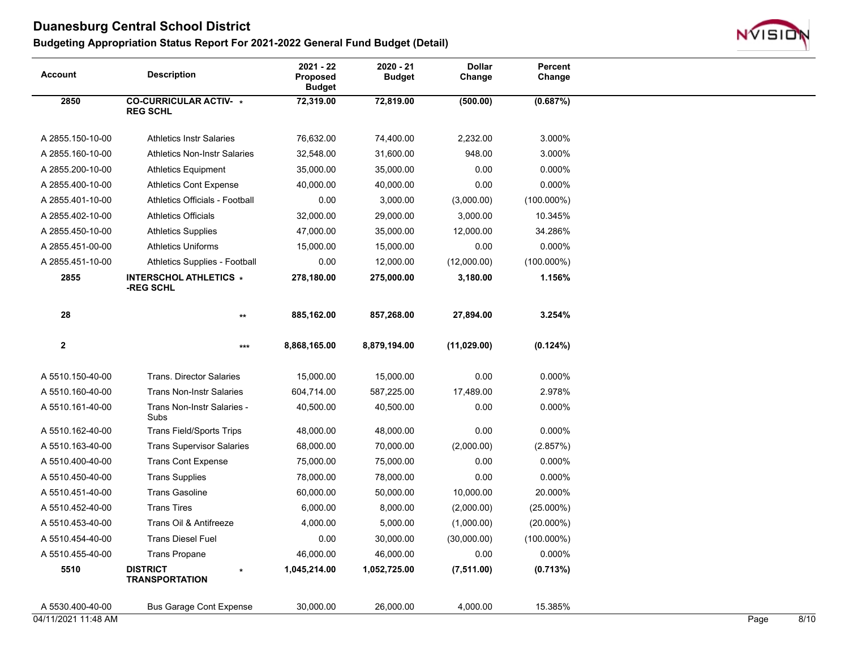

| Account             | <b>Description</b>                               | 2021 - 22<br>Proposed<br><b>Budget</b> | $2020 - 21$<br><b>Budget</b> | <b>Dollar</b><br>Change | Percent<br>Change |      |      |
|---------------------|--------------------------------------------------|----------------------------------------|------------------------------|-------------------------|-------------------|------|------|
| 2850                | <b>CO-CURRICULAR ACTIV- *</b><br><b>REG SCHL</b> | 72,319.00                              | 72,819.00                    | (500.00)                | (0.687%)          |      |      |
| A 2855.150-10-00    | <b>Athletics Instr Salaries</b>                  | 76,632.00                              | 74,400.00                    | 2,232.00                | 3.000%            |      |      |
| A 2855.160-10-00    | <b>Athletics Non-Instr Salaries</b>              | 32,548.00                              | 31,600.00                    | 948.00                  | 3.000%            |      |      |
| A 2855.200-10-00    | <b>Athletics Equipment</b>                       | 35,000.00                              | 35,000.00                    | 0.00                    | 0.000%            |      |      |
| A 2855.400-10-00    | <b>Athletics Cont Expense</b>                    | 40,000.00                              | 40,000.00                    | 0.00                    | 0.000%            |      |      |
| A 2855.401-10-00    | Athletics Officials - Football                   | 0.00                                   | 3,000.00                     | (3,000.00)              | $(100.000\%)$     |      |      |
| A 2855.402-10-00    | <b>Athletics Officials</b>                       | 32,000.00                              | 29,000.00                    | 3,000.00                | 10.345%           |      |      |
| A 2855.450-10-00    | <b>Athletics Supplies</b>                        | 47,000.00                              | 35,000.00                    | 12,000.00               | 34.286%           |      |      |
| A 2855.451-00-00    | <b>Athletics Uniforms</b>                        | 15,000.00                              | 15,000.00                    | 0.00                    | 0.000%            |      |      |
| A 2855.451-10-00    | Athletics Supplies - Football                    | 0.00                                   | 12,000.00                    | (12,000.00)             | $(100.000\%)$     |      |      |
| 2855                | <b>INTERSCHOL ATHLETICS *</b><br>-REG SCHL       | 278,180.00                             | 275,000.00                   | 3,180.00                | 1.156%            |      |      |
| 28                  | $***$                                            | 885,162.00                             | 857,268.00                   | 27,894.00               | 3.254%            |      |      |
| $\mathbf{2}$        | $***$                                            | 8,868,165.00                           | 8,879,194.00                 | (11, 029.00)            | (0.124%)          |      |      |
| A 5510.150-40-00    | <b>Trans. Director Salaries</b>                  | 15,000.00                              | 15,000.00                    | 0.00                    | 0.000%            |      |      |
| A 5510.160-40-00    | <b>Trans Non-Instr Salaries</b>                  | 604,714.00                             | 587,225.00                   | 17,489.00               | 2.978%            |      |      |
| A 5510.161-40-00    | Trans Non-Instr Salaries -<br>Subs               | 40,500.00                              | 40,500.00                    | 0.00                    | 0.000%            |      |      |
| A 5510.162-40-00    | <b>Trans Field/Sports Trips</b>                  | 48,000.00                              | 48,000.00                    | 0.00                    | 0.000%            |      |      |
| A 5510.163-40-00    | <b>Trans Supervisor Salaries</b>                 | 68,000.00                              | 70,000.00                    | (2,000.00)              | (2.857%)          |      |      |
| A 5510.400-40-00    | <b>Trans Cont Expense</b>                        | 75,000.00                              | 75,000.00                    | 0.00                    | 0.000%            |      |      |
| A 5510.450-40-00    | <b>Trans Supplies</b>                            | 78,000.00                              | 78,000.00                    | 0.00                    | 0.000%            |      |      |
| A 5510.451-40-00    | <b>Trans Gasoline</b>                            | 60,000.00                              | 50,000.00                    | 10,000.00               | 20.000%           |      |      |
| A 5510.452-40-00    | <b>Trans Tires</b>                               | 6,000.00                               | 8,000.00                     | (2,000.00)              | $(25.000\%)$      |      |      |
| A 5510.453-40-00    | Trans Oil & Antifreeze                           | 4,000.00                               | 5,000.00                     | (1,000.00)              | $(20.000\%)$      |      |      |
| A 5510.454-40-00    | <b>Trans Diesel Fuel</b>                         | 0.00                                   | 30,000.00                    | (30,000.00)             | $(100.000\%)$     |      |      |
| A 5510.455-40-00    | <b>Trans Propane</b>                             | 46,000.00                              | 46,000.00                    | 0.00                    | 0.000%            |      |      |
| 5510                | <b>DISTRICT</b><br><b>TRANSPORTATION</b>         | 1,045,214.00                           | 1,052,725.00                 | (7, 511.00)             | (0.713%)          |      |      |
| A 5530.400-40-00    | <b>Bus Garage Cont Expense</b>                   | 30,000.00                              | 26,000.00                    | 4,000.00                | 15.385%           |      |      |
| 04/11/2021 11:48 AM |                                                  |                                        |                              |                         |                   | Page | 8/10 |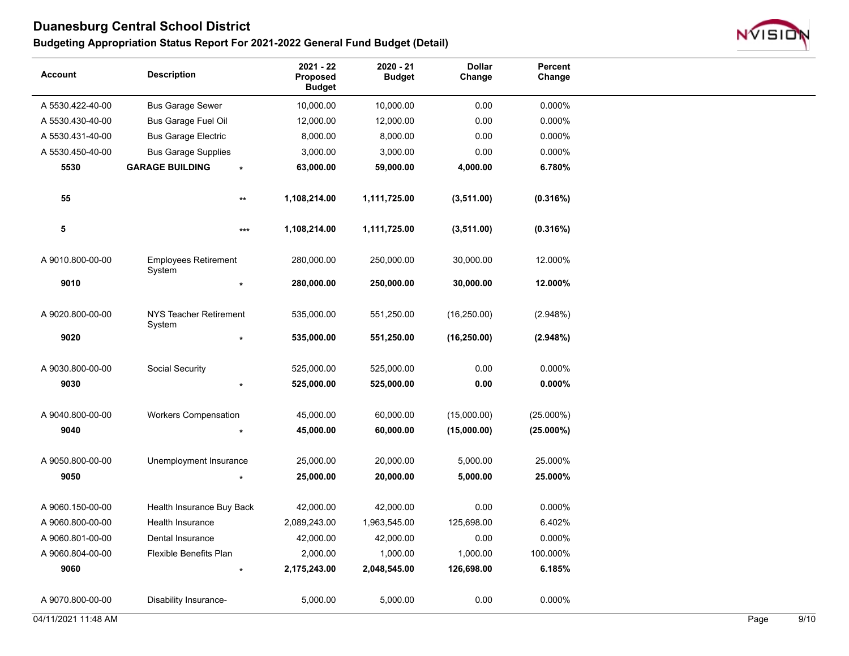

| Account             | <b>Description</b>                    | $2021 - 22$<br>Proposed<br><b>Budget</b> | 2020 - 21<br><b>Budget</b> | <b>Dollar</b><br>Change | Percent<br>Change |      |      |
|---------------------|---------------------------------------|------------------------------------------|----------------------------|-------------------------|-------------------|------|------|
| A 5530.422-40-00    | <b>Bus Garage Sewer</b>               | 10,000.00                                | 10,000.00                  | 0.00                    | 0.000%            |      |      |
| A 5530.430-40-00    | <b>Bus Garage Fuel Oil</b>            | 12,000.00                                | 12,000.00                  | 0.00                    | 0.000%            |      |      |
| A 5530.431-40-00    | <b>Bus Garage Electric</b>            | 8,000.00                                 | 8,000.00                   | 0.00                    | 0.000%            |      |      |
| A 5530.450-40-00    | <b>Bus Garage Supplies</b>            | 3,000.00                                 | 3,000.00                   | 0.00                    | 0.000%            |      |      |
| 5530                | <b>GARAGE BUILDING</b>                | 63,000.00<br>$\star$                     | 59,000.00                  | 4,000.00                | 6.780%            |      |      |
| 55                  |                                       | 1,108,214.00<br>$\star\star$             | 1,111,725.00               | (3,511.00)              | (0.316%)          |      |      |
| 5                   |                                       | 1,108,214.00<br>$***$                    | 1,111,725.00               | (3,511.00)              | (0.316%)          |      |      |
| A 9010.800-00-00    | <b>Employees Retirement</b><br>System | 280,000.00                               | 250,000.00                 | 30,000.00               | 12.000%           |      |      |
| 9010                |                                       | 280,000.00                               | 250,000.00                 | 30,000.00               | 12.000%           |      |      |
| A 9020.800-00-00    | NYS Teacher Retirement<br>System      | 535,000.00                               | 551,250.00                 | (16, 250.00)            | (2.948%)          |      |      |
| 9020                |                                       | 535,000.00                               | 551,250.00                 | (16, 250.00)            | (2.948%)          |      |      |
| A 9030.800-00-00    | Social Security                       | 525,000.00                               | 525,000.00                 | 0.00                    | 0.000%            |      |      |
| 9030                |                                       | 525,000.00                               | 525,000.00                 | 0.00                    | $0.000\%$         |      |      |
| A 9040.800-00-00    | <b>Workers Compensation</b>           | 45,000.00                                | 60,000.00                  | (15,000.00)             | $(25.000\%)$      |      |      |
| 9040                |                                       | 45,000.00                                | 60,000.00                  | (15,000.00)             | $(25.000\%)$      |      |      |
| A 9050.800-00-00    | Unemployment Insurance                | 25,000.00                                | 20,000.00                  | 5,000.00                | 25.000%           |      |      |
| 9050                |                                       | 25,000.00                                | 20,000.00                  | 5,000.00                | 25.000%           |      |      |
| A 9060.150-00-00    | Health Insurance Buy Back             | 42,000.00                                | 42,000.00                  | 0.00                    | 0.000%            |      |      |
| A 9060.800-00-00    | Health Insurance                      | 2,089,243.00                             | 1,963,545.00               | 125,698.00              | 6.402%            |      |      |
| A 9060.801-00-00    | Dental Insurance                      | 42,000.00                                | 42,000.00                  | 0.00                    | 0.000%            |      |      |
| A 9060.804-00-00    | Flexible Benefits Plan                | 2,000.00                                 | 1,000.00                   | 1,000.00                | 100.000%          |      |      |
| 9060                |                                       | 2,175,243.00<br>$\star$                  | 2,048,545.00               | 126,698.00              | 6.185%            |      |      |
| A 9070.800-00-00    | Disability Insurance-                 | 5,000.00                                 | 5,000.00                   | 0.00                    | 0.000%            |      |      |
| 04/11/2021 11:48 AM |                                       |                                          |                            |                         |                   | Page | 9/10 |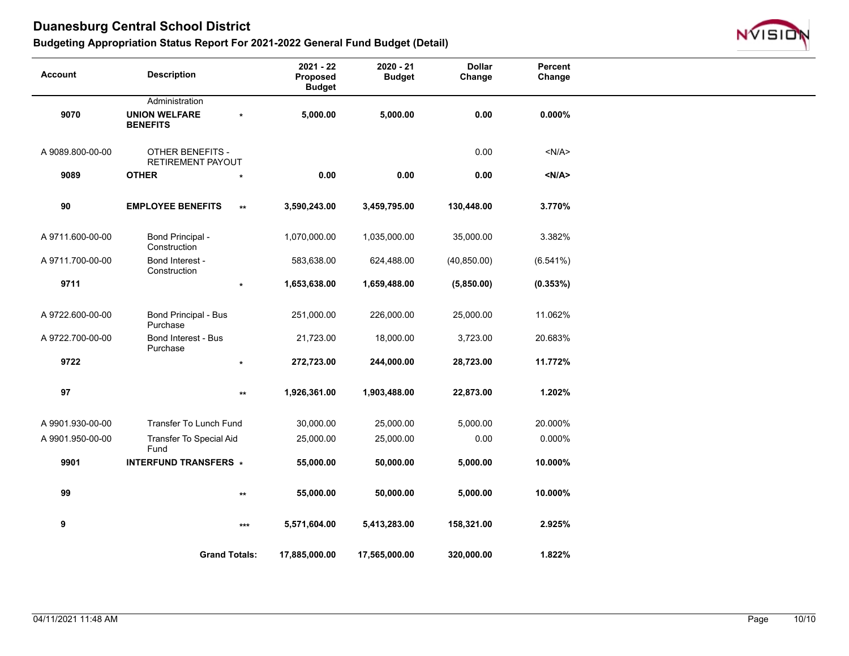

| <b>Account</b>   | <b>Description</b>                           |                   | $2021 - 22$<br>Proposed<br><b>Budget</b> | $2020 - 21$<br><b>Budget</b> | <b>Dollar</b><br>Change | Percent<br>Change |  |
|------------------|----------------------------------------------|-------------------|------------------------------------------|------------------------------|-------------------------|-------------------|--|
|                  | Administration                               |                   |                                          |                              |                         |                   |  |
| 9070             | <b>UNION WELFARE</b><br><b>BENEFITS</b>      | $\star$           | 5,000.00                                 | 5,000.00                     | 0.00                    | $0.000\%$         |  |
| A 9089.800-00-00 | <b>OTHER BENEFITS -</b><br>RETIREMENT PAYOUT |                   |                                          |                              | 0.00                    | < N/A >           |  |
| 9089             | <b>OTHER</b>                                 | $\star$           | 0.00                                     | 0.00                         | 0.00                    | < N/A >           |  |
| 90               | <b>EMPLOYEE BENEFITS</b>                     | $***$             | 3,590,243.00                             | 3,459,795.00                 | 130,448.00              | 3.770%            |  |
| A 9711.600-00-00 | <b>Bond Principal -</b><br>Construction      |                   | 1,070,000.00                             | 1,035,000.00                 | 35,000.00               | 3.382%            |  |
| A 9711.700-00-00 | Bond Interest -<br>Construction              |                   | 583,638.00                               | 624,488.00                   | (40, 850.00)            | (6.541%)          |  |
| 9711             |                                              | $\star$           | 1,653,638.00                             | 1,659,488.00                 | (5,850.00)              | (0.353%)          |  |
| A 9722.600-00-00 | Bond Principal - Bus<br>Purchase             |                   | 251,000.00                               | 226,000.00                   | 25,000.00               | 11.062%           |  |
| A 9722.700-00-00 | Bond Interest - Bus<br>Purchase              |                   | 21,723.00                                | 18,000.00                    | 3,723.00                | 20.683%           |  |
| 9722             |                                              | $\star$           | 272,723.00                               | 244,000.00                   | 28,723.00               | 11.772%           |  |
| 97               |                                              | $***$             | 1,926,361.00                             | 1,903,488.00                 | 22,873.00               | 1.202%            |  |
| A 9901.930-00-00 | Transfer To Lunch Fund                       |                   | 30,000.00                                | 25,000.00                    | 5,000.00                | 20.000%           |  |
| A 9901.950-00-00 | Transfer To Special Aid<br>Fund              |                   | 25,000.00                                | 25,000.00                    | 0.00                    | 0.000%            |  |
| 9901             | <b>INTERFUND TRANSFERS *</b>                 |                   | 55,000.00                                | 50,000.00                    | 5,000.00                | 10.000%           |  |
| 99               |                                              | $***$             | 55,000.00                                | 50,000.00                    | 5,000.00                | 10.000%           |  |
| 9                |                                              | $\star\star\star$ | 5,571,604.00                             | 5,413,283.00                 | 158,321.00              | 2.925%            |  |
|                  | <b>Grand Totals:</b>                         |                   | 17,885,000.00                            | 17,565,000.00                | 320,000.00              | 1.822%            |  |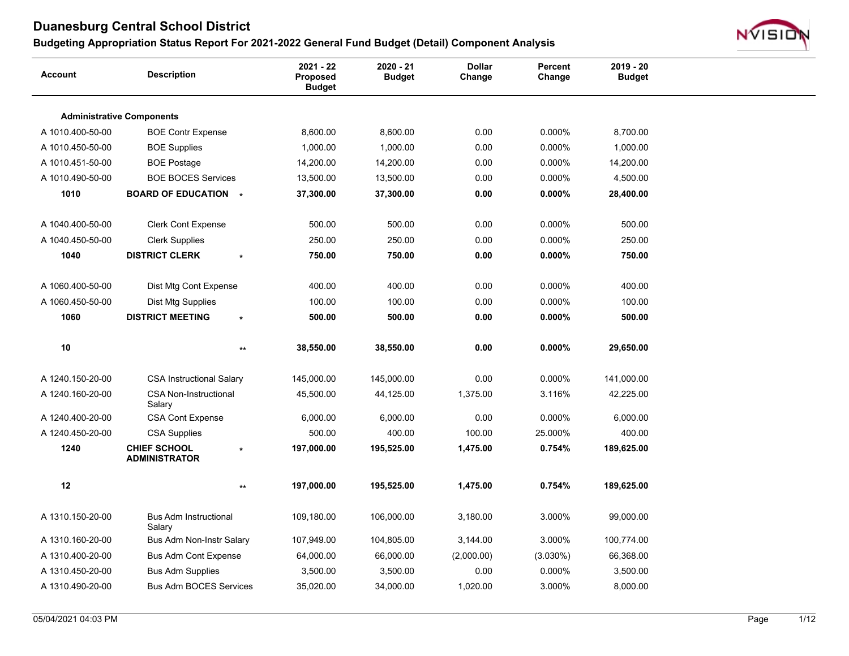

| <b>Administrative Components</b><br>0.00<br>0.000%<br>A 1010.400-50-00<br><b>BOE Contr Expense</b><br>8,600.00<br>8,600.00<br>8,700.00<br>0.00<br>1,000.00<br>1,000.00<br>0.000%<br>1,000.00<br>A 1010.450-50-00<br><b>BOE Supplies</b><br>0.00<br>0.000%<br>A 1010.451-50-00<br><b>BOE Postage</b><br>14,200.00<br>14,200.00<br>14,200.00<br>A 1010.490-50-00<br><b>BOE BOCES Services</b><br>13,500.00<br>0.00<br>0.000%<br>4,500.00<br>13,500.00<br>1010<br><b>BOARD OF EDUCATION *</b><br>37,300.00<br>37,300.00<br>0.00<br>$0.000\%$<br>28,400.00<br>0.00<br>A 1040.400-50-00<br><b>Clerk Cont Expense</b><br>500.00<br>500.00<br>0.000%<br>500.00<br>250.00<br>250.00<br>0.00<br>0.000%<br>250.00<br>A 1040.450-50-00<br><b>Clerk Supplies</b><br>0.00<br>750.00<br>1040<br><b>DISTRICT CLERK</b><br>750.00<br>750.00<br>$0.000\%$<br>400.00<br>400.00<br>0.00<br>0.000%<br>400.00<br>A 1060.400-50-00<br>Dist Mtg Cont Expense<br>100.00<br>0.00<br>0.000%<br>100.00<br>A 1060.450-50-00<br>Dist Mtg Supplies<br>100.00<br>500.00<br>$0.000\%$<br>1060<br><b>DISTRICT MEETING</b><br>500.00<br>0.00<br>500.00<br>$\star$<br>$10$<br>0.00<br>$0.000\%$<br>38,550.00<br>38,550.00<br>29,650.00<br>$^{\star\star}$<br><b>CSA Instructional Salary</b><br>0.00<br>0.000%<br>A 1240.150-20-00<br>145,000.00<br>145,000.00<br>141,000.00<br>1,375.00<br>3.116%<br>A 1240.160-20-00<br><b>CSA Non-Instructional</b><br>45,500.00<br>44,125.00<br>42,225.00<br>Salary<br>A 1240.400-20-00<br>6,000.00<br>6,000.00<br>0.00<br>0.000%<br>6,000.00<br><b>CSA Cont Expense</b><br>400.00<br>100.00<br>25.000%<br>400.00<br>A 1240.450-20-00<br><b>CSA Supplies</b><br>500.00<br><b>CHIEF SCHOOL</b><br>1240<br>197,000.00<br>195,525.00<br>1,475.00<br>0.754%<br>189,625.00<br>$\star$<br><b>ADMINISTRATOR</b><br>12<br>197,000.00<br>195,525.00<br>1,475.00<br>0.754%<br>189,625.00<br>$\star\star$<br>A 1310.150-20-00<br><b>Bus Adm Instructional</b><br>109,180.00<br>106,000.00<br>3,180.00<br>3.000%<br>99,000.00<br>Salary<br>3.000%<br>A 1310.160-20-00<br>Bus Adm Non-Instr Salary<br>107,949.00<br>104,805.00<br>3,144.00<br>100,774.00<br>64,000.00<br>66,000.00<br>(2,000.00)<br>$(3.030\%)$<br>66,368.00<br>A 1310.400-20-00<br><b>Bus Adm Cont Expense</b><br>0.000%<br>A 1310.450-20-00<br><b>Bus Adm Supplies</b><br>3,500.00<br>3,500.00<br>0.00<br>3,500.00<br>A 1310.490-20-00<br><b>Bus Adm BOCES Services</b><br>35,020.00<br>34,000.00<br>1,020.00<br>3.000%<br>8,000.00 | <b>Account</b> | <b>Description</b> | $2021 - 22$<br>Proposed<br><b>Budget</b> | $2020 - 21$<br><b>Budget</b> | <b>Dollar</b><br>Change | Percent<br>Change | $2019 - 20$<br><b>Budget</b> |  |
|-------------------------------------------------------------------------------------------------------------------------------------------------------------------------------------------------------------------------------------------------------------------------------------------------------------------------------------------------------------------------------------------------------------------------------------------------------------------------------------------------------------------------------------------------------------------------------------------------------------------------------------------------------------------------------------------------------------------------------------------------------------------------------------------------------------------------------------------------------------------------------------------------------------------------------------------------------------------------------------------------------------------------------------------------------------------------------------------------------------------------------------------------------------------------------------------------------------------------------------------------------------------------------------------------------------------------------------------------------------------------------------------------------------------------------------------------------------------------------------------------------------------------------------------------------------------------------------------------------------------------------------------------------------------------------------------------------------------------------------------------------------------------------------------------------------------------------------------------------------------------------------------------------------------------------------------------------------------------------------------------------------------------------------------------------------------------------------------------------------------------------------------------------------------------------------------------------------------------------------------------------------------------------------------------------------------------------------------------------------------------------------------------------------------------------------------------------------------------------------------|----------------|--------------------|------------------------------------------|------------------------------|-------------------------|-------------------|------------------------------|--|
|                                                                                                                                                                                                                                                                                                                                                                                                                                                                                                                                                                                                                                                                                                                                                                                                                                                                                                                                                                                                                                                                                                                                                                                                                                                                                                                                                                                                                                                                                                                                                                                                                                                                                                                                                                                                                                                                                                                                                                                                                                                                                                                                                                                                                                                                                                                                                                                                                                                                                           |                |                    |                                          |                              |                         |                   |                              |  |
|                                                                                                                                                                                                                                                                                                                                                                                                                                                                                                                                                                                                                                                                                                                                                                                                                                                                                                                                                                                                                                                                                                                                                                                                                                                                                                                                                                                                                                                                                                                                                                                                                                                                                                                                                                                                                                                                                                                                                                                                                                                                                                                                                                                                                                                                                                                                                                                                                                                                                           |                |                    |                                          |                              |                         |                   |                              |  |
|                                                                                                                                                                                                                                                                                                                                                                                                                                                                                                                                                                                                                                                                                                                                                                                                                                                                                                                                                                                                                                                                                                                                                                                                                                                                                                                                                                                                                                                                                                                                                                                                                                                                                                                                                                                                                                                                                                                                                                                                                                                                                                                                                                                                                                                                                                                                                                                                                                                                                           |                |                    |                                          |                              |                         |                   |                              |  |
|                                                                                                                                                                                                                                                                                                                                                                                                                                                                                                                                                                                                                                                                                                                                                                                                                                                                                                                                                                                                                                                                                                                                                                                                                                                                                                                                                                                                                                                                                                                                                                                                                                                                                                                                                                                                                                                                                                                                                                                                                                                                                                                                                                                                                                                                                                                                                                                                                                                                                           |                |                    |                                          |                              |                         |                   |                              |  |
|                                                                                                                                                                                                                                                                                                                                                                                                                                                                                                                                                                                                                                                                                                                                                                                                                                                                                                                                                                                                                                                                                                                                                                                                                                                                                                                                                                                                                                                                                                                                                                                                                                                                                                                                                                                                                                                                                                                                                                                                                                                                                                                                                                                                                                                                                                                                                                                                                                                                                           |                |                    |                                          |                              |                         |                   |                              |  |
|                                                                                                                                                                                                                                                                                                                                                                                                                                                                                                                                                                                                                                                                                                                                                                                                                                                                                                                                                                                                                                                                                                                                                                                                                                                                                                                                                                                                                                                                                                                                                                                                                                                                                                                                                                                                                                                                                                                                                                                                                                                                                                                                                                                                                                                                                                                                                                                                                                                                                           |                |                    |                                          |                              |                         |                   |                              |  |
|                                                                                                                                                                                                                                                                                                                                                                                                                                                                                                                                                                                                                                                                                                                                                                                                                                                                                                                                                                                                                                                                                                                                                                                                                                                                                                                                                                                                                                                                                                                                                                                                                                                                                                                                                                                                                                                                                                                                                                                                                                                                                                                                                                                                                                                                                                                                                                                                                                                                                           |                |                    |                                          |                              |                         |                   |                              |  |
|                                                                                                                                                                                                                                                                                                                                                                                                                                                                                                                                                                                                                                                                                                                                                                                                                                                                                                                                                                                                                                                                                                                                                                                                                                                                                                                                                                                                                                                                                                                                                                                                                                                                                                                                                                                                                                                                                                                                                                                                                                                                                                                                                                                                                                                                                                                                                                                                                                                                                           |                |                    |                                          |                              |                         |                   |                              |  |
|                                                                                                                                                                                                                                                                                                                                                                                                                                                                                                                                                                                                                                                                                                                                                                                                                                                                                                                                                                                                                                                                                                                                                                                                                                                                                                                                                                                                                                                                                                                                                                                                                                                                                                                                                                                                                                                                                                                                                                                                                                                                                                                                                                                                                                                                                                                                                                                                                                                                                           |                |                    |                                          |                              |                         |                   |                              |  |
|                                                                                                                                                                                                                                                                                                                                                                                                                                                                                                                                                                                                                                                                                                                                                                                                                                                                                                                                                                                                                                                                                                                                                                                                                                                                                                                                                                                                                                                                                                                                                                                                                                                                                                                                                                                                                                                                                                                                                                                                                                                                                                                                                                                                                                                                                                                                                                                                                                                                                           |                |                    |                                          |                              |                         |                   |                              |  |
|                                                                                                                                                                                                                                                                                                                                                                                                                                                                                                                                                                                                                                                                                                                                                                                                                                                                                                                                                                                                                                                                                                                                                                                                                                                                                                                                                                                                                                                                                                                                                                                                                                                                                                                                                                                                                                                                                                                                                                                                                                                                                                                                                                                                                                                                                                                                                                                                                                                                                           |                |                    |                                          |                              |                         |                   |                              |  |
|                                                                                                                                                                                                                                                                                                                                                                                                                                                                                                                                                                                                                                                                                                                                                                                                                                                                                                                                                                                                                                                                                                                                                                                                                                                                                                                                                                                                                                                                                                                                                                                                                                                                                                                                                                                                                                                                                                                                                                                                                                                                                                                                                                                                                                                                                                                                                                                                                                                                                           |                |                    |                                          |                              |                         |                   |                              |  |
|                                                                                                                                                                                                                                                                                                                                                                                                                                                                                                                                                                                                                                                                                                                                                                                                                                                                                                                                                                                                                                                                                                                                                                                                                                                                                                                                                                                                                                                                                                                                                                                                                                                                                                                                                                                                                                                                                                                                                                                                                                                                                                                                                                                                                                                                                                                                                                                                                                                                                           |                |                    |                                          |                              |                         |                   |                              |  |
|                                                                                                                                                                                                                                                                                                                                                                                                                                                                                                                                                                                                                                                                                                                                                                                                                                                                                                                                                                                                                                                                                                                                                                                                                                                                                                                                                                                                                                                                                                                                                                                                                                                                                                                                                                                                                                                                                                                                                                                                                                                                                                                                                                                                                                                                                                                                                                                                                                                                                           |                |                    |                                          |                              |                         |                   |                              |  |
|                                                                                                                                                                                                                                                                                                                                                                                                                                                                                                                                                                                                                                                                                                                                                                                                                                                                                                                                                                                                                                                                                                                                                                                                                                                                                                                                                                                                                                                                                                                                                                                                                                                                                                                                                                                                                                                                                                                                                                                                                                                                                                                                                                                                                                                                                                                                                                                                                                                                                           |                |                    |                                          |                              |                         |                   |                              |  |
|                                                                                                                                                                                                                                                                                                                                                                                                                                                                                                                                                                                                                                                                                                                                                                                                                                                                                                                                                                                                                                                                                                                                                                                                                                                                                                                                                                                                                                                                                                                                                                                                                                                                                                                                                                                                                                                                                                                                                                                                                                                                                                                                                                                                                                                                                                                                                                                                                                                                                           |                |                    |                                          |                              |                         |                   |                              |  |
|                                                                                                                                                                                                                                                                                                                                                                                                                                                                                                                                                                                                                                                                                                                                                                                                                                                                                                                                                                                                                                                                                                                                                                                                                                                                                                                                                                                                                                                                                                                                                                                                                                                                                                                                                                                                                                                                                                                                                                                                                                                                                                                                                                                                                                                                                                                                                                                                                                                                                           |                |                    |                                          |                              |                         |                   |                              |  |
|                                                                                                                                                                                                                                                                                                                                                                                                                                                                                                                                                                                                                                                                                                                                                                                                                                                                                                                                                                                                                                                                                                                                                                                                                                                                                                                                                                                                                                                                                                                                                                                                                                                                                                                                                                                                                                                                                                                                                                                                                                                                                                                                                                                                                                                                                                                                                                                                                                                                                           |                |                    |                                          |                              |                         |                   |                              |  |
|                                                                                                                                                                                                                                                                                                                                                                                                                                                                                                                                                                                                                                                                                                                                                                                                                                                                                                                                                                                                                                                                                                                                                                                                                                                                                                                                                                                                                                                                                                                                                                                                                                                                                                                                                                                                                                                                                                                                                                                                                                                                                                                                                                                                                                                                                                                                                                                                                                                                                           |                |                    |                                          |                              |                         |                   |                              |  |
|                                                                                                                                                                                                                                                                                                                                                                                                                                                                                                                                                                                                                                                                                                                                                                                                                                                                                                                                                                                                                                                                                                                                                                                                                                                                                                                                                                                                                                                                                                                                                                                                                                                                                                                                                                                                                                                                                                                                                                                                                                                                                                                                                                                                                                                                                                                                                                                                                                                                                           |                |                    |                                          |                              |                         |                   |                              |  |
|                                                                                                                                                                                                                                                                                                                                                                                                                                                                                                                                                                                                                                                                                                                                                                                                                                                                                                                                                                                                                                                                                                                                                                                                                                                                                                                                                                                                                                                                                                                                                                                                                                                                                                                                                                                                                                                                                                                                                                                                                                                                                                                                                                                                                                                                                                                                                                                                                                                                                           |                |                    |                                          |                              |                         |                   |                              |  |
|                                                                                                                                                                                                                                                                                                                                                                                                                                                                                                                                                                                                                                                                                                                                                                                                                                                                                                                                                                                                                                                                                                                                                                                                                                                                                                                                                                                                                                                                                                                                                                                                                                                                                                                                                                                                                                                                                                                                                                                                                                                                                                                                                                                                                                                                                                                                                                                                                                                                                           |                |                    |                                          |                              |                         |                   |                              |  |
|                                                                                                                                                                                                                                                                                                                                                                                                                                                                                                                                                                                                                                                                                                                                                                                                                                                                                                                                                                                                                                                                                                                                                                                                                                                                                                                                                                                                                                                                                                                                                                                                                                                                                                                                                                                                                                                                                                                                                                                                                                                                                                                                                                                                                                                                                                                                                                                                                                                                                           |                |                    |                                          |                              |                         |                   |                              |  |
|                                                                                                                                                                                                                                                                                                                                                                                                                                                                                                                                                                                                                                                                                                                                                                                                                                                                                                                                                                                                                                                                                                                                                                                                                                                                                                                                                                                                                                                                                                                                                                                                                                                                                                                                                                                                                                                                                                                                                                                                                                                                                                                                                                                                                                                                                                                                                                                                                                                                                           |                |                    |                                          |                              |                         |                   |                              |  |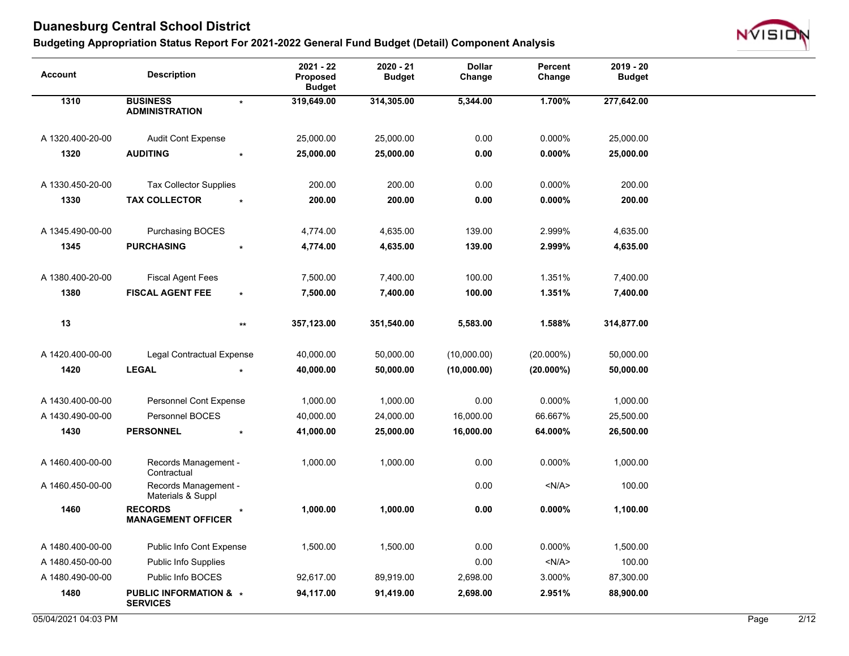

| <b>Account</b>   | <b>Description</b>                                   |                 | $2021 - 22$<br>Proposed<br><b>Budget</b> | 2020 - 21<br><b>Budget</b> | <b>Dollar</b><br>Change | Percent<br>Change | $2019 - 20$<br><b>Budget</b> |  |
|------------------|------------------------------------------------------|-----------------|------------------------------------------|----------------------------|-------------------------|-------------------|------------------------------|--|
| 1310             | <b>BUSINESS</b><br><b>ADMINISTRATION</b>             | $\star$         | 319,649.00                               | 314,305.00                 | 5,344.00                | 1.700%            | 277,642.00                   |  |
| A 1320.400-20-00 | <b>Audit Cont Expense</b>                            |                 | 25,000.00                                | 25,000.00                  | 0.00                    | 0.000%            | 25,000.00                    |  |
| 1320             | <b>AUDITING</b>                                      |                 | 25,000.00                                | 25,000.00                  | 0.00                    | $0.000\%$         | 25,000.00                    |  |
| A 1330.450-20-00 | <b>Tax Collector Supplies</b>                        |                 | 200.00                                   | 200.00                     | 0.00                    | 0.000%            | 200.00                       |  |
| 1330             | <b>TAX COLLECTOR</b>                                 |                 | 200.00                                   | 200.00                     | 0.00                    | 0.000%            | 200.00                       |  |
| A 1345.490-00-00 | Purchasing BOCES                                     |                 | 4,774.00                                 | 4,635.00                   | 139.00                  | 2.999%            | 4,635.00                     |  |
| 1345             | <b>PURCHASING</b>                                    |                 | 4,774.00                                 | 4,635.00                   | 139.00                  | 2.999%            | 4,635.00                     |  |
| A 1380.400-20-00 | <b>Fiscal Agent Fees</b>                             |                 | 7,500.00                                 | 7,400.00                   | 100.00                  | 1.351%            | 7,400.00                     |  |
| 1380             | <b>FISCAL AGENT FEE</b>                              | $\star$         | 7,500.00                                 | 7,400.00                   | 100.00                  | 1.351%            | 7,400.00                     |  |
| 13               |                                                      | $^{\star\star}$ | 357,123.00                               | 351,540.00                 | 5,583.00                | 1.588%            | 314,877.00                   |  |
| A 1420.400-00-00 | Legal Contractual Expense                            |                 | 40,000.00                                | 50,000.00                  | (10,000.00)             | $(20.000\%)$      | 50,000.00                    |  |
| 1420             | <b>LEGAL</b>                                         |                 | 40,000.00                                | 50,000.00                  | (10,000.00)             | $(20.000\%)$      | 50,000.00                    |  |
| A 1430.400-00-00 | Personnel Cont Expense                               |                 | 1,000.00                                 | 1,000.00                   | 0.00                    | 0.000%            | 1,000.00                     |  |
| A 1430.490-00-00 | Personnel BOCES                                      |                 | 40,000.00                                | 24,000.00                  | 16,000.00               | 66.667%           | 25,500.00                    |  |
| 1430             | <b>PERSONNEL</b>                                     | $\star$         | 41,000.00                                | 25,000.00                  | 16,000.00               | 64.000%           | 26,500.00                    |  |
| A 1460.400-00-00 | Records Management -<br>Contractual                  |                 | 1,000.00                                 | 1,000.00                   | 0.00                    | 0.000%            | 1,000.00                     |  |
| A 1460.450-00-00 | Records Management -<br>Materials & Suppl            |                 |                                          |                            | 0.00                    | < N/A             | 100.00                       |  |
| 1460             | <b>RECORDS</b><br><b>MANAGEMENT OFFICER</b>          |                 | 1,000.00                                 | 1,000.00                   | 0.00                    | $0.000\%$         | 1,100.00                     |  |
| A 1480.400-00-00 | Public Info Cont Expense                             |                 | 1,500.00                                 | 1,500.00                   | 0.00                    | 0.000%            | 1,500.00                     |  |
| A 1480.450-00-00 | <b>Public Info Supplies</b>                          |                 |                                          |                            | 0.00                    | < N/A >           | 100.00                       |  |
| A 1480.490-00-00 | Public Info BOCES                                    |                 | 92,617.00                                | 89,919.00                  | 2,698.00                | 3.000%            | 87,300.00                    |  |
| 1480             | <b>PUBLIC INFORMATION &amp; *</b><br><b>SERVICES</b> |                 | 94,117.00                                | 91,419.00                  | 2,698.00                | 2.951%            | 88,900.00                    |  |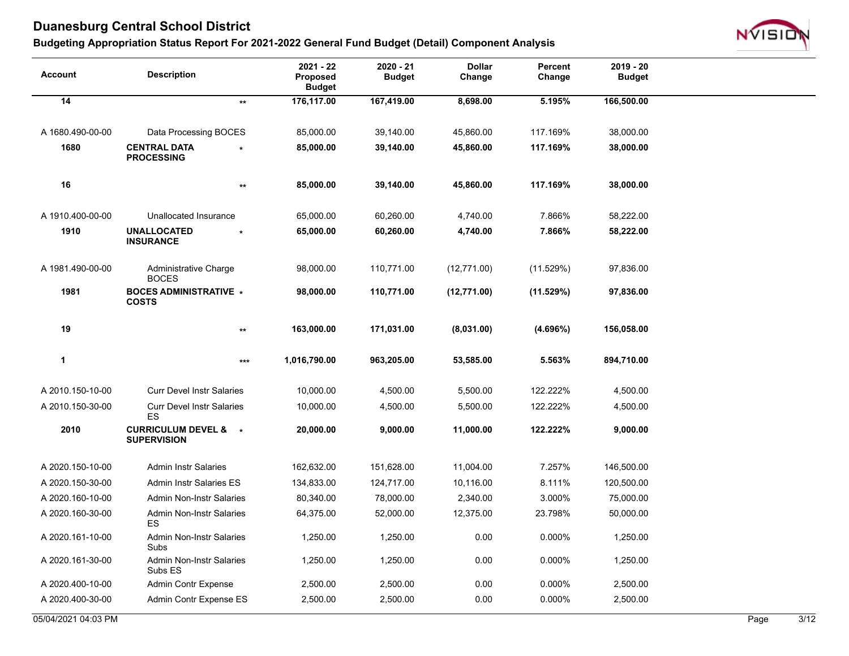

| <b>Account</b>      | <b>Description</b>                                    | 2021 - 22<br><b>Proposed</b><br><b>Budget</b> | 2020 - 21<br><b>Budget</b> | <b>Dollar</b><br>Change | Percent<br>Change | 2019 - 20<br><b>Budget</b> |      |                |
|---------------------|-------------------------------------------------------|-----------------------------------------------|----------------------------|-------------------------|-------------------|----------------------------|------|----------------|
| 14                  | $^{\star\star}$                                       | 176,117.00                                    | 167,419.00                 | 8,698.00                | 5.195%            | 166,500.00                 |      |                |
|                     |                                                       |                                               |                            |                         |                   |                            |      |                |
| A 1680.490-00-00    | Data Processing BOCES                                 | 85,000.00                                     | 39,140.00                  | 45,860.00               | 117.169%          | 38,000.00                  |      |                |
| 1680                | <b>CENTRAL DATA</b><br><b>PROCESSING</b>              | 85,000.00                                     | 39,140.00                  | 45,860.00               | 117.169%          | 38,000.00                  |      |                |
| 16                  | $^{\star\star}$                                       | 85,000.00                                     | 39,140.00                  | 45,860.00               | 117.169%          | 38,000.00                  |      |                |
| A 1910.400-00-00    | Unallocated Insurance                                 | 65,000.00                                     | 60,260.00                  | 4,740.00                | 7.866%            | 58,222.00                  |      |                |
| 1910                | <b>UNALLOCATED</b><br><b>INSURANCE</b>                | 65,000.00                                     | 60,260.00                  | 4,740.00                | 7.866%            | 58,222.00                  |      |                |
| A 1981.490-00-00    | Administrative Charge<br><b>BOCES</b>                 | 98,000.00                                     | 110,771.00                 | (12,771.00)             | (11.529%)         | 97,836.00                  |      |                |
| 1981                | <b>BOCES ADMINISTRATIVE *</b><br><b>COSTS</b>         | 98,000.00                                     | 110,771.00                 | (12,771.00)             | (11.529%)         | 97,836.00                  |      |                |
| 19                  | $^{\star\star}$                                       | 163,000.00                                    | 171,031.00                 | (8,031.00)              | (4.696%)          | 156,058.00                 |      |                |
| 1                   | $***$                                                 | 1,016,790.00                                  | 963,205.00                 | 53,585.00               | 5.563%            | 894,710.00                 |      |                |
| A 2010.150-10-00    | <b>Curr Devel Instr Salaries</b>                      | 10,000.00                                     | 4,500.00                   | 5,500.00                | 122.222%          | 4,500.00                   |      |                |
| A 2010.150-30-00    | <b>Curr Devel Instr Salaries</b><br>ES                | 10,000.00                                     | 4,500.00                   | 5,500.00                | 122.222%          | 4,500.00                   |      |                |
| 2010                | <b>CURRICULUM DEVEL &amp; *</b><br><b>SUPERVISION</b> | 20,000.00                                     | 9,000.00                   | 11,000.00               | 122.222%          | 9,000.00                   |      |                |
| A 2020.150-10-00    | <b>Admin Instr Salaries</b>                           | 162,632.00                                    | 151,628.00                 | 11,004.00               | 7.257%            | 146,500.00                 |      |                |
| A 2020.150-30-00    | <b>Admin Instr Salaries ES</b>                        | 134,833.00                                    | 124,717.00                 | 10,116.00               | 8.111%            | 120,500.00                 |      |                |
| A 2020.160-10-00    | <b>Admin Non-Instr Salaries</b>                       | 80,340.00                                     | 78,000.00                  | 2,340.00                | 3.000%            | 75,000.00                  |      |                |
| A 2020.160-30-00    | <b>Admin Non-Instr Salaries</b><br>ES                 | 64,375.00                                     | 52,000.00                  | 12,375.00               | 23.798%           | 50,000.00                  |      |                |
| A 2020.161-10-00    | <b>Admin Non-Instr Salaries</b><br>Subs               | 1,250.00                                      | 1,250.00                   | 0.00                    | 0.000%            | 1,250.00                   |      |                |
| A 2020.161-30-00    | Admin Non-Instr Salaries<br>Subs ES                   | 1,250.00                                      | 1,250.00                   | 0.00                    | 0.000%            | 1,250.00                   |      |                |
| A 2020.400-10-00    | Admin Contr Expense                                   | 2,500.00                                      | 2,500.00                   | 0.00                    | 0.000%            | 2,500.00                   |      |                |
| A 2020.400-30-00    | Admin Contr Expense ES                                | 2,500.00                                      | 2,500.00                   | 0.00                    | 0.000%            | 2,500.00                   |      |                |
| 05/04/2021 04:03 PM |                                                       |                                               |                            |                         |                   |                            | Page | $\frac{3}{12}$ |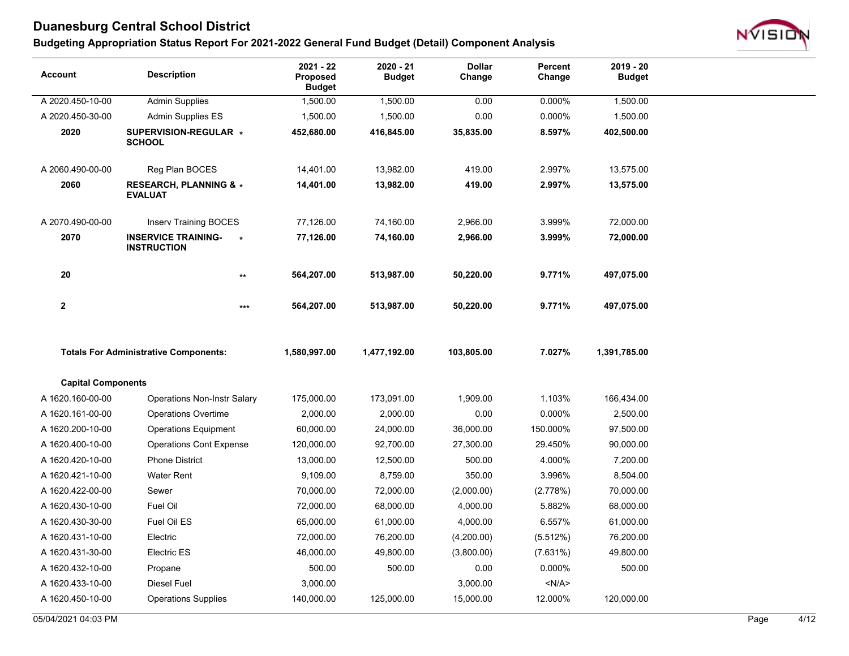

| Account                   | <b>Description</b>                                         | 2021 - 22<br><b>Proposed</b><br><b>Budget</b> | 2020 - 21<br><b>Budget</b> | <b>Dollar</b><br>Change | Percent<br>Change | $2019 - 20$<br><b>Budget</b> |      |      |
|---------------------------|------------------------------------------------------------|-----------------------------------------------|----------------------------|-------------------------|-------------------|------------------------------|------|------|
| A 2020.450-10-00          | <b>Admin Supplies</b>                                      | 1,500.00                                      | 1,500.00                   | 0.00                    | 0.000%            | 1,500.00                     |      |      |
| A 2020.450-30-00          | Admin Supplies ES                                          | 1,500.00                                      | 1,500.00                   | 0.00                    | 0.000%            | 1,500.00                     |      |      |
| 2020                      | SUPERVISION-REGULAR *<br><b>SCHOOL</b>                     | 452,680.00                                    | 416,845.00                 | 35,835.00               | 8.597%            | 402,500.00                   |      |      |
| A 2060.490-00-00          | Reg Plan BOCES                                             | 14,401.00                                     | 13,982.00                  | 419.00                  | 2.997%            | 13,575.00                    |      |      |
| 2060                      | <b>RESEARCH, PLANNING &amp; *</b><br><b>EVALUAT</b>        | 14,401.00                                     | 13,982.00                  | 419.00                  | 2.997%            | 13,575.00                    |      |      |
| A 2070.490-00-00          | <b>Inserv Training BOCES</b>                               | 77,126.00                                     | 74,160.00                  | 2,966.00                | 3.999%            | 72,000.00                    |      |      |
| 2070                      | <b>INSERVICE TRAINING-</b><br>$\ast$<br><b>INSTRUCTION</b> | 77,126.00                                     | 74,160.00                  | 2,966.00                | 3.999%            | 72,000.00                    |      |      |
| 20                        | $\star\star$                                               | 564,207.00                                    | 513,987.00                 | 50,220.00               | 9.771%            | 497,075.00                   |      |      |
| $\mathbf{2}$              | $***$                                                      | 564,207.00                                    | 513,987.00                 | 50,220.00               | 9.771%            | 497,075.00                   |      |      |
|                           | <b>Totals For Administrative Components:</b>               | 1,580,997.00                                  | 1,477,192.00               | 103,805.00              | 7.027%            | 1,391,785.00                 |      |      |
| <b>Capital Components</b> |                                                            |                                               |                            |                         |                   |                              |      |      |
| A 1620.160-00-00          | <b>Operations Non-Instr Salary</b>                         | 175,000.00                                    | 173,091.00                 | 1,909.00                | 1.103%            | 166,434.00                   |      |      |
| A 1620.161-00-00          | <b>Operations Overtime</b>                                 | 2,000.00                                      | 2,000.00                   | 0.00                    | 0.000%            | 2,500.00                     |      |      |
| A 1620.200-10-00          | <b>Operations Equipment</b>                                | 60,000.00                                     | 24,000.00                  | 36,000.00               | 150.000%          | 97,500.00                    |      |      |
| A 1620.400-10-00          | <b>Operations Cont Expense</b>                             | 120,000.00                                    | 92,700.00                  | 27,300.00               | 29.450%           | 90,000.00                    |      |      |
| A 1620.420-10-00          | <b>Phone District</b>                                      | 13,000.00                                     | 12,500.00                  | 500.00                  | 4.000%            | 7,200.00                     |      |      |
| A 1620.421-10-00          | <b>Water Rent</b>                                          | 9,109.00                                      | 8,759.00                   | 350.00                  | 3.996%            | 8,504.00                     |      |      |
| A 1620.422-00-00          | Sewer                                                      | 70,000.00                                     | 72,000.00                  | (2,000.00)              | (2.778%)          | 70,000.00                    |      |      |
| A 1620.430-10-00          | Fuel Oil                                                   | 72,000.00                                     | 68,000.00                  | 4,000.00                | 5.882%            | 68,000.00                    |      |      |
| A 1620.430-30-00          | Fuel Oil ES                                                | 65,000.00                                     | 61,000.00                  | 4,000.00                | 6.557%            | 61,000.00                    |      |      |
| A 1620.431-10-00          | Electric                                                   | 72,000.00                                     | 76,200.00                  | (4,200.00)              | (5.512%)          | 76,200.00                    |      |      |
| A 1620.431-30-00          | Electric ES                                                | 46,000.00                                     | 49,800.00                  | (3,800.00)              | (7.631%)          | 49,800.00                    |      |      |
| A 1620.432-10-00          | Propane                                                    | 500.00                                        | 500.00                     | 0.00                    | 0.000%            | 500.00                       |      |      |
| A 1620.433-10-00          | Diesel Fuel                                                | 3,000.00                                      |                            | 3,000.00                | < N/A >           |                              |      |      |
| A 1620.450-10-00          | <b>Operations Supplies</b>                                 | 140,000.00                                    | 125,000.00                 | 15,000.00               | 12.000%           | 120,000.00                   |      |      |
| 05/04/2021 04:03 PM       |                                                            |                                               |                            |                         |                   |                              | Page | 4/12 |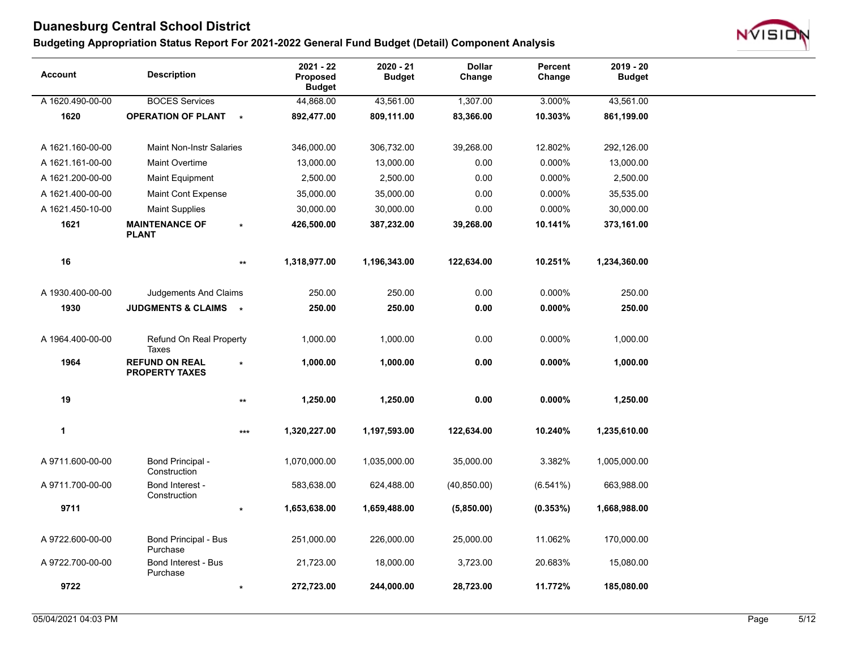

| <b>Account</b>   | <b>Description</b>                             |                 | 2021 - 22<br>Proposed<br><b>Budget</b> | $2020 - 21$<br><b>Budget</b> | <b>Dollar</b><br>Change | Percent<br>Change | 2019 - 20<br><b>Budget</b> |
|------------------|------------------------------------------------|-----------------|----------------------------------------|------------------------------|-------------------------|-------------------|----------------------------|
| A 1620.490-00-00 | <b>BOCES Services</b>                          |                 | 44,868.00                              | 43,561.00                    | 1,307.00                | 3.000%            | 43,561.00                  |
| 1620             | <b>OPERATION OF PLANT</b>                      | $\star$         | 892,477.00                             | 809,111.00                   | 83,366.00               | 10.303%           | 861,199.00                 |
|                  |                                                |                 |                                        |                              |                         |                   |                            |
| A 1621.160-00-00 | <b>Maint Non-Instr Salaries</b>                |                 | 346,000.00                             | 306,732.00                   | 39,268.00               | 12.802%           | 292,126.00                 |
| A 1621.161-00-00 | <b>Maint Overtime</b>                          |                 | 13,000.00                              | 13,000.00                    | 0.00                    | 0.000%            | 13,000.00                  |
| A 1621.200-00-00 | <b>Maint Equipment</b>                         |                 | 2,500.00                               | 2,500.00                     | 0.00                    | 0.000%            | 2,500.00                   |
| A 1621.400-00-00 | Maint Cont Expense                             |                 | 35,000.00                              | 35,000.00                    | 0.00                    | 0.000%            | 35,535.00                  |
| A 1621.450-10-00 | <b>Maint Supplies</b>                          |                 | 30,000.00                              | 30,000.00                    | 0.00                    | 0.000%            | 30,000.00                  |
| 1621             | <b>MAINTENANCE OF</b><br><b>PLANT</b>          | $\star$         | 426,500.00                             | 387,232.00                   | 39,268.00               | 10.141%           | 373,161.00                 |
| 16               |                                                | $^{\star\star}$ | 1,318,977.00                           | 1,196,343.00                 | 122,634.00              | 10.251%           | 1,234,360.00               |
| A 1930.400-00-00 | Judgements And Claims                          |                 | 250.00                                 | 250.00                       | 0.00                    | 0.000%            | 250.00                     |
| 1930             | JUDGMENTS & CLAIMS *                           |                 | 250.00                                 | 250.00                       | 0.00                    | $0.000\%$         | 250.00                     |
| A 1964.400-00-00 | Refund On Real Property<br><b>Taxes</b>        |                 | 1,000.00                               | 1,000.00                     | 0.00                    | 0.000%            | 1,000.00                   |
| 1964             | <b>REFUND ON REAL</b><br><b>PROPERTY TAXES</b> | $\star$         | 1,000.00                               | 1,000.00                     | 0.00                    | $0.000\%$         | 1,000.00                   |
| 19               |                                                | $^{\star\star}$ | 1,250.00                               | 1,250.00                     | 0.00                    | $0.000\%$         | 1,250.00                   |
| $\mathbf{1}$     |                                                | $***$           | 1,320,227.00                           | 1,197,593.00                 | 122,634.00              | 10.240%           | 1,235,610.00               |
| A 9711.600-00-00 | Bond Principal -<br>Construction               |                 | 1,070,000.00                           | 1,035,000.00                 | 35,000.00               | 3.382%            | 1,005,000.00               |
| A 9711.700-00-00 | Bond Interest -<br>Construction                |                 | 583,638.00                             | 624,488.00                   | (40, 850.00)            | (6.541%)          | 663,988.00                 |
| 9711             |                                                | $\ast$          | 1,653,638.00                           | 1,659,488.00                 | (5,850.00)              | $(0.353\%)$       | 1,668,988.00               |
| A 9722.600-00-00 | Bond Principal - Bus<br>Purchase               |                 | 251,000.00                             | 226,000.00                   | 25,000.00               | 11.062%           | 170,000.00                 |
| A 9722.700-00-00 | <b>Bond Interest - Bus</b><br>Purchase         |                 | 21,723.00                              | 18,000.00                    | 3,723.00                | 20.683%           | 15,080.00                  |
| 9722             |                                                | $\star$         | 272,723.00                             | 244,000.00                   | 28,723.00               | 11.772%           | 185,080.00                 |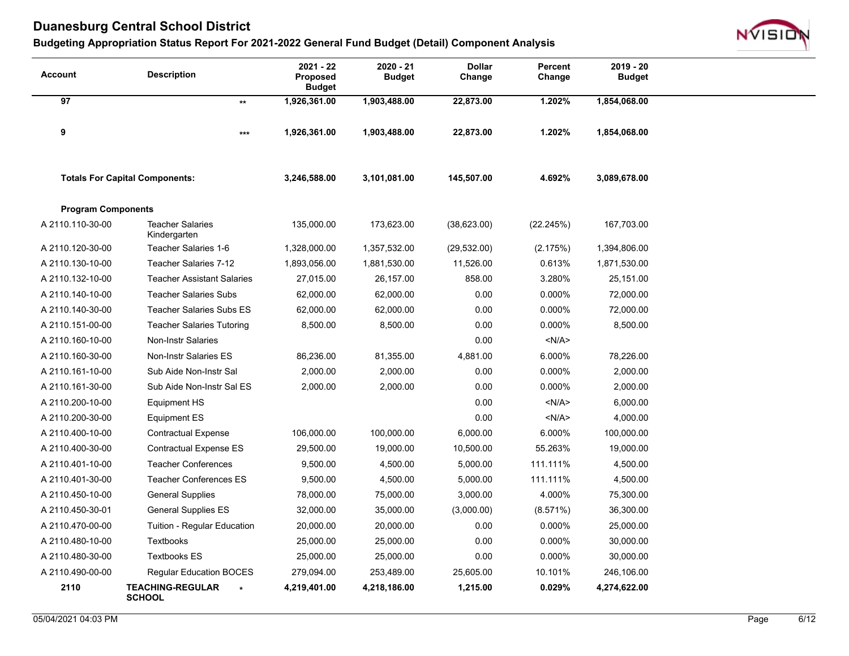

| Account                   | <b>Description</b>                                  | 2021 - 22<br><b>Proposed</b><br><b>Budget</b> | 2020 - 21<br><b>Budget</b> | <b>Dollar</b><br>Change | Percent<br>Change | $2019 - 20$<br><b>Budget</b> |
|---------------------------|-----------------------------------------------------|-----------------------------------------------|----------------------------|-------------------------|-------------------|------------------------------|
| 97                        | $\star\star$                                        | 1,926,361.00                                  | 1,903,488.00               | 22,873.00               | 1.202%            | 1,854,068.00                 |
| 9                         | $***$                                               | 1,926,361.00                                  | 1,903,488.00               | 22,873.00               | 1.202%            | 1,854,068.00                 |
|                           | <b>Totals For Capital Components:</b>               | 3,246,588.00                                  | 3,101,081.00               | 145,507.00              | 4.692%            | 3,089,678.00                 |
| <b>Program Components</b> |                                                     |                                               |                            |                         |                   |                              |
| A 2110.110-30-00          | <b>Teacher Salaries</b><br>Kindergarten             | 135,000.00                                    | 173,623.00                 | (38,623.00)             | (22.245%)         | 167,703.00                   |
| A 2110.120-30-00          | Teacher Salaries 1-6                                | 1,328,000.00                                  | 1,357,532.00               | (29, 532.00)            | (2.175%)          | 1,394,806.00                 |
| A 2110.130-10-00          | <b>Teacher Salaries 7-12</b>                        | 1,893,056.00                                  | 1,881,530.00               | 11,526.00               | 0.613%            | 1,871,530.00                 |
| A 2110.132-10-00          | <b>Teacher Assistant Salaries</b>                   | 27,015.00                                     | 26,157.00                  | 858.00                  | 3.280%            | 25,151.00                    |
| A 2110.140-10-00          | <b>Teacher Salaries Subs</b>                        | 62,000.00                                     | 62,000.00                  | 0.00                    | 0.000%            | 72,000.00                    |
| A 2110.140-30-00          | <b>Teacher Salaries Subs ES</b>                     | 62,000.00                                     | 62,000.00                  | 0.00                    | 0.000%            | 72,000.00                    |
| A 2110.151-00-00          | <b>Teacher Salaries Tutoring</b>                    | 8,500.00                                      | 8,500.00                   | 0.00                    | 0.000%            | 8,500.00                     |
| A 2110.160-10-00          | <b>Non-Instr Salaries</b>                           |                                               |                            | 0.00                    | < N/A >           |                              |
| A 2110.160-30-00          | Non-Instr Salaries ES                               | 86,236.00                                     | 81,355.00                  | 4,881.00                | 6.000%            | 78,226.00                    |
| A 2110.161-10-00          | Sub Aide Non-Instr Sal                              | 2,000.00                                      | 2,000.00                   | 0.00                    | 0.000%            | 2,000.00                     |
| A 2110.161-30-00          | Sub Aide Non-Instr Sal ES                           | 2,000.00                                      | 2,000.00                   | 0.00                    | 0.000%            | 2,000.00                     |
| A 2110.200-10-00          | Equipment HS                                        |                                               |                            | 0.00                    | < N/A >           | 6,000.00                     |
| A 2110.200-30-00          | <b>Equipment ES</b>                                 |                                               |                            | 0.00                    | < N/A >           | 4,000.00                     |
| A 2110.400-10-00          | <b>Contractual Expense</b>                          | 106,000.00                                    | 100,000.00                 | 6,000.00                | 6.000%            | 100,000.00                   |
| A 2110.400-30-00          | <b>Contractual Expense ES</b>                       | 29,500.00                                     | 19,000.00                  | 10,500.00               | 55.263%           | 19,000.00                    |
| A 2110.401-10-00          | <b>Teacher Conferences</b>                          | 9,500.00                                      | 4,500.00                   | 5,000.00                | 111.111%          | 4,500.00                     |
| A 2110.401-30-00          | <b>Teacher Conferences ES</b>                       | 9,500.00                                      | 4,500.00                   | 5,000.00                | 111.111%          | 4,500.00                     |
| A 2110.450-10-00          | <b>General Supplies</b>                             | 78,000.00                                     | 75,000.00                  | 3,000.00                | 4.000%            | 75,300.00                    |
| A 2110.450-30-01          | <b>General Supplies ES</b>                          | 32,000.00                                     | 35,000.00                  | (3,000.00)              | (8.571%)          | 36,300.00                    |
| A 2110.470-00-00          | Tuition - Regular Education                         | 20,000.00                                     | 20,000.00                  | 0.00                    | 0.000%            | 25,000.00                    |
| A 2110.480-10-00          | Textbooks                                           | 25,000.00                                     | 25,000.00                  | 0.00                    | 0.000%            | 30,000.00                    |
| A 2110.480-30-00          | <b>Textbooks ES</b>                                 | 25,000.00                                     | 25,000.00                  | 0.00                    | 0.000%            | 30,000.00                    |
| A 2110.490-00-00          | <b>Regular Education BOCES</b>                      | 279,094.00                                    | 253,489.00                 | 25,605.00               | 10.101%           | 246,106.00                   |
| 2110                      | <b>TEACHING-REGULAR</b><br>$\star$<br><b>SCHOOL</b> | 4,219,401.00                                  | 4,218,186.00               | 1,215.00                | 0.029%            | 4,274,622.00                 |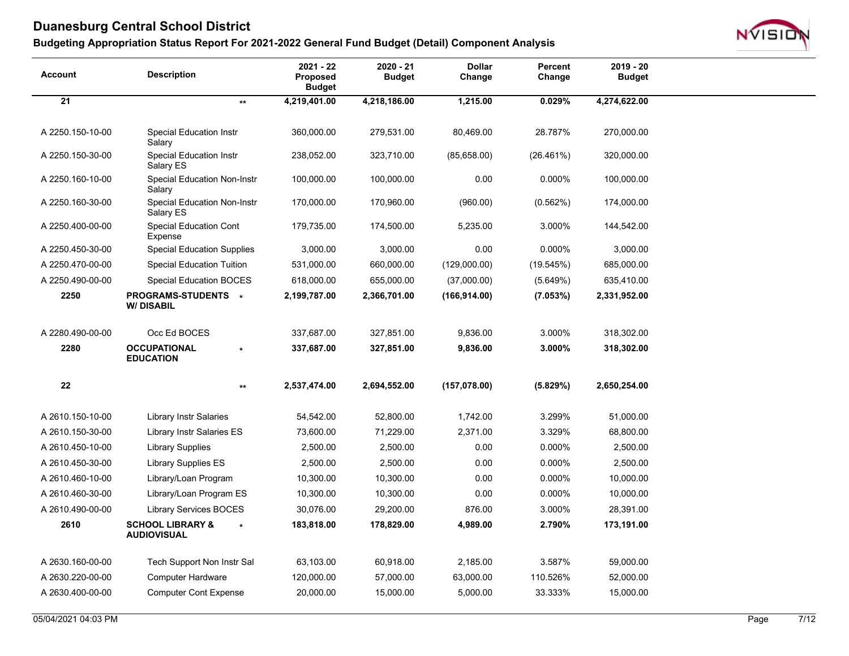

| <b>Account</b>   | <b>Description</b>                                | $2021 - 22$<br>Proposed<br><b>Budget</b> | 2020 - 21<br><b>Budget</b> | <b>Dollar</b><br>Change | Percent<br>Change | $2019 - 20$<br><b>Budget</b> |
|------------------|---------------------------------------------------|------------------------------------------|----------------------------|-------------------------|-------------------|------------------------------|
| 21               | $\star\star$                                      | 4,219,401.00                             | 4,218,186.00               | 1,215.00                | 0.029%            | 4,274,622.00                 |
|                  |                                                   |                                          |                            |                         |                   |                              |
| A 2250.150-10-00 | <b>Special Education Instr</b><br>Salary          | 360,000.00                               | 279,531.00                 | 80,469.00               | 28.787%           | 270,000.00                   |
| A 2250.150-30-00 | <b>Special Education Instr</b><br>Salary ES       | 238,052.00                               | 323,710.00                 | (85,658.00)             | (26.461%)         | 320,000.00                   |
| A 2250.160-10-00 | <b>Special Education Non-Instr</b><br>Salary      | 100,000.00                               | 100,000.00                 | 0.00                    | 0.000%            | 100,000.00                   |
| A 2250.160-30-00 | <b>Special Education Non-Instr</b><br>Salary ES   | 170,000.00                               | 170,960.00                 | (960.00)                | (0.562%)          | 174,000.00                   |
| A 2250.400-00-00 | <b>Special Education Cont</b><br>Expense          | 179,735.00                               | 174,500.00                 | 5,235.00                | 3.000%            | 144,542.00                   |
| A 2250.450-30-00 | <b>Special Education Supplies</b>                 | 3,000.00                                 | 3,000.00                   | 0.00                    | 0.000%            | 3,000.00                     |
| A 2250.470-00-00 | <b>Special Education Tuition</b>                  | 531,000.00                               | 660,000.00                 | (129,000.00)            | (19.545%)         | 685,000.00                   |
| A 2250.490-00-00 | <b>Special Education BOCES</b>                    | 618,000.00                               | 655,000.00                 | (37,000.00)             | (5.649%)          | 635,410.00                   |
| 2250             | PROGRAMS-STUDENTS *<br><b>W/DISABIL</b>           | 2,199,787.00                             | 2,366,701.00               | (166, 914.00)           | (7.053%)          | 2,331,952.00                 |
| A 2280.490-00-00 | Occ Ed BOCES                                      | 337,687.00                               | 327,851.00                 | 9,836.00                | 3.000%            | 318,302.00                   |
| 2280             | <b>OCCUPATIONAL</b><br><b>EDUCATION</b>           | 337,687.00                               | 327,851.00                 | 9,836.00                | 3.000%            | 318,302.00                   |
|                  |                                                   |                                          |                            |                         |                   |                              |
| 22               | $\star\star$                                      | 2,537,474.00                             | 2,694,552.00               | (157,078.00)            | (5.829%)          | 2,650,254.00                 |
| A 2610.150-10-00 | <b>Library Instr Salaries</b>                     | 54,542.00                                | 52,800.00                  | 1,742.00                | 3.299%            | 51,000.00                    |
| A 2610.150-30-00 | Library Instr Salaries ES                         | 73,600.00                                | 71,229.00                  | 2,371.00                | 3.329%            | 68,800.00                    |
| A 2610.450-10-00 | <b>Library Supplies</b>                           | 2,500.00                                 | 2,500.00                   | 0.00                    | 0.000%            | 2,500.00                     |
| A 2610.450-30-00 | Library Supplies ES                               | 2,500.00                                 | 2,500.00                   | 0.00                    | 0.000%            | 2,500.00                     |
| A 2610.460-10-00 | Library/Loan Program                              | 10,300.00                                | 10,300.00                  | 0.00                    | 0.000%            | 10,000.00                    |
| A 2610.460-30-00 | Library/Loan Program ES                           | 10,300.00                                | 10,300.00                  | 0.00                    | 0.000%            | 10,000.00                    |
| A 2610.490-00-00 | <b>Library Services BOCES</b>                     | 30.076.00                                | 29,200.00                  | 876.00                  | 3.000%            | 28,391.00                    |
| 2610             | <b>SCHOOL LIBRARY &amp;</b><br><b>AUDIOVISUAL</b> | 183,818.00                               | 178,829.00                 | 4,989.00                | 2.790%            | 173,191.00                   |
| A 2630.160-00-00 | Tech Support Non Instr Sal                        | 63,103.00                                | 60,918.00                  | 2,185.00                | 3.587%            | 59,000.00                    |
| A 2630.220-00-00 | <b>Computer Hardware</b>                          | 120,000.00                               | 57,000.00                  | 63,000.00               | 110.526%          | 52,000.00                    |
| A 2630.400-00-00 | <b>Computer Cont Expense</b>                      | 20,000.00                                | 15,000.00                  | 5,000.00                | 33.333%           | 15,000.00                    |
|                  |                                                   |                                          |                            |                         |                   |                              |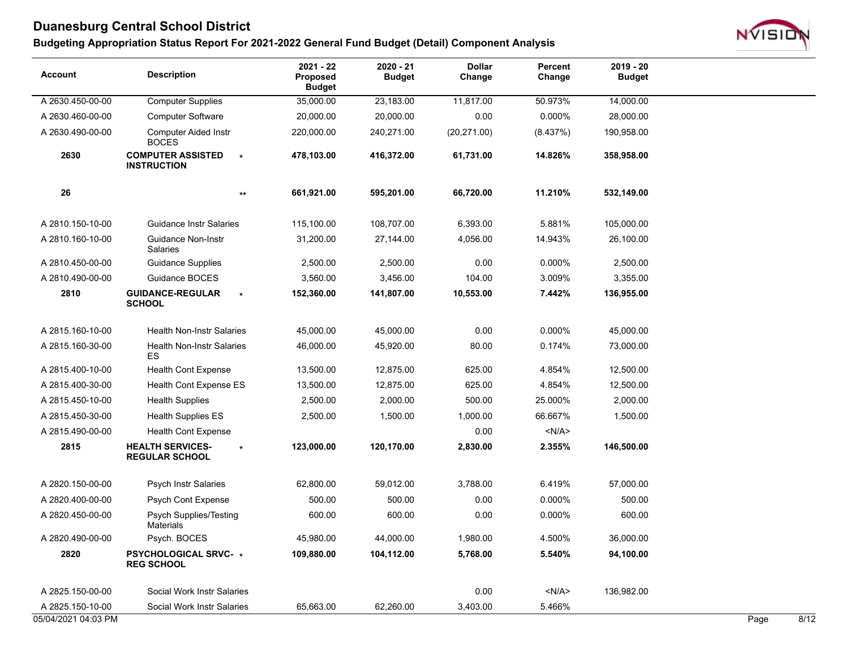

| <b>Account</b>      | <b>Description</b>                                          | 2021 - 22<br><b>Proposed</b><br><b>Budget</b> | $2020 - 21$<br><b>Budget</b> | <b>Dollar</b><br>Change | Percent<br>Change | $2019 - 20$<br><b>Budget</b> |      |      |
|---------------------|-------------------------------------------------------------|-----------------------------------------------|------------------------------|-------------------------|-------------------|------------------------------|------|------|
| A 2630.450-00-00    | <b>Computer Supplies</b>                                    | 35,000.00                                     | 23,183.00                    | 11,817.00               | 50.973%           | 14,000.00                    |      |      |
| A 2630.460-00-00    | <b>Computer Software</b>                                    | 20,000.00                                     | 20,000.00                    | 0.00                    | 0.000%            | 28,000.00                    |      |      |
| A 2630.490-00-00    | <b>Computer Aided Instr</b><br><b>BOCES</b>                 | 220,000.00                                    | 240,271.00                   | (20, 271.00)            | (8.437%)          | 190,958.00                   |      |      |
| 2630                | <b>COMPUTER ASSISTED</b><br>$\star$<br><b>INSTRUCTION</b>   | 478,103.00                                    | 416,372.00                   | 61,731.00               | 14.826%           | 358,958.00                   |      |      |
| 26                  | $^{\star\star}$                                             | 661,921.00                                    | 595,201.00                   | 66,720.00               | 11.210%           | 532,149.00                   |      |      |
| A 2810.150-10-00    | <b>Guidance Instr Salaries</b>                              | 115,100.00                                    | 108,707.00                   | 6,393.00                | 5.881%            | 105,000.00                   |      |      |
| A 2810.160-10-00    | <b>Guidance Non-Instr</b><br><b>Salaries</b>                | 31,200.00                                     | 27,144.00                    | 4,056.00                | 14.943%           | 26,100.00                    |      |      |
| A 2810.450-00-00    | <b>Guidance Supplies</b>                                    | 2,500.00                                      | 2,500.00                     | 0.00                    | 0.000%            | 2,500.00                     |      |      |
| A 2810.490-00-00    | Guidance BOCES                                              | 3,560.00                                      | 3,456.00                     | 104.00                  | 3.009%            | 3,355.00                     |      |      |
| 2810                | <b>GUIDANCE-REGULAR</b><br>$\star$<br><b>SCHOOL</b>         | 152,360.00                                    | 141,807.00                   | 10,553.00               | 7.442%            | 136,955.00                   |      |      |
| A 2815.160-10-00    | <b>Health Non-Instr Salaries</b>                            | 45,000.00                                     | 45,000.00                    | 0.00                    | 0.000%            | 45,000.00                    |      |      |
| A 2815.160-30-00    | <b>Health Non-Instr Salaries</b><br>ES                      | 46,000.00                                     | 45,920.00                    | 80.00                   | 0.174%            | 73,000.00                    |      |      |
| A 2815.400-10-00    | Health Cont Expense                                         | 13,500.00                                     | 12,875.00                    | 625.00                  | 4.854%            | 12,500.00                    |      |      |
| A 2815.400-30-00    | <b>Health Cont Expense ES</b>                               | 13,500.00                                     | 12,875.00                    | 625.00                  | 4.854%            | 12,500.00                    |      |      |
| A 2815.450-10-00    | <b>Health Supplies</b>                                      | 2,500.00                                      | 2,000.00                     | 500.00                  | 25.000%           | 2,000.00                     |      |      |
| A 2815.450-30-00    | <b>Health Supplies ES</b>                                   | 2,500.00                                      | 1,500.00                     | 1,000.00                | 66.667%           | 1,500.00                     |      |      |
| A 2815.490-00-00    | <b>Health Cont Expense</b>                                  |                                               |                              | 0.00                    | <n a=""></n>      |                              |      |      |
| 2815                | <b>HEALTH SERVICES-</b><br>$\star$<br><b>REGULAR SCHOOL</b> | 123,000.00                                    | 120,170.00                   | 2,830.00                | 2.355%            | 146,500.00                   |      |      |
| A 2820.150-00-00    | <b>Psych Instr Salaries</b>                                 | 62,800.00                                     | 59,012.00                    | 3,788.00                | 6.419%            | 57,000.00                    |      |      |
| A 2820.400-00-00    | <b>Psych Cont Expense</b>                                   | 500.00                                        | 500.00                       | 0.00                    | 0.000%            | 500.00                       |      |      |
| A 2820.450-00-00    | Psych Supplies/Testing<br><b>Materials</b>                  | 600.00                                        | 600.00                       | 0.00                    | 0.000%            | 600.00                       |      |      |
| A 2820.490-00-00    | Psych. BOCES                                                | 45,980.00                                     | 44,000.00                    | 1,980.00                | 4.500%            | 36,000.00                    |      |      |
| 2820                | <b>PSYCHOLOGICAL SRVC- *</b><br><b>REG SCHOOL</b>           | 109,880.00                                    | 104,112.00                   | 5,768.00                | 5.540%            | 94,100.00                    |      |      |
| A 2825.150-00-00    | Social Work Instr Salaries                                  |                                               |                              | 0.00                    | < N/A >           | 136,982.00                   |      |      |
| A 2825.150-10-00    | Social Work Instr Salaries                                  | 65,663.00                                     | 62,260.00                    | 3,403.00                | 5.466%            |                              |      |      |
| 05/04/2021 04:03 PM |                                                             |                                               |                              |                         |                   |                              | Page | 8/12 |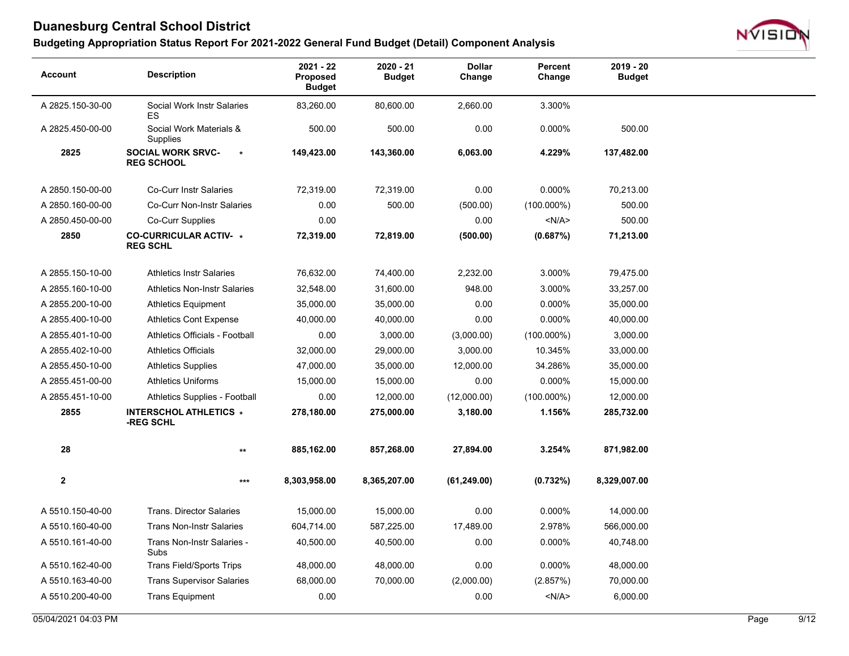

| $2021 - 22$<br>$2020 - 21$<br><b>Dollar</b><br>Percent<br><b>Description</b><br><b>Account</b><br>Proposed<br><b>Budget</b><br>Change<br>Change<br><b>Budget</b> | $2019 - 20$<br><b>Budget</b> |
|------------------------------------------------------------------------------------------------------------------------------------------------------------------|------------------------------|
| 3.300%<br>A 2825.150-30-00<br>Social Work Instr Salaries<br>83,260.00<br>80,600.00<br>2,660.00<br>ES                                                             |                              |
| 500.00<br>500.00<br>0.00<br>0.000%<br>A 2825.450-00-00<br>Social Work Materials &<br>Supplies                                                                    | 500.00                       |
| 2825<br><b>SOCIAL WORK SRVC-</b><br>4.229%<br>149,423.00<br>143,360.00<br>6,063.00<br>$\star$<br><b>REG SCHOOL</b>                                               | 137,482.00                   |
| 0.000%<br>A 2850.150-00-00<br><b>Co-Curr Instr Salaries</b><br>72,319.00<br>72,319.00<br>0.00                                                                    | 70,213.00                    |
| A 2850.160-00-00<br><b>Co-Curr Non-Instr Salaries</b><br>0.00<br>500.00<br>(500.00)<br>$(100.000\%)$                                                             | 500.00                       |
| A 2850.450-00-00<br>Co-Curr Supplies<br>0.00<br>0.00<br>< N/A >                                                                                                  | 500.00                       |
| 2850<br><b>CO-CURRICULAR ACTIV- *</b><br>72,319.00<br>(0.687%)<br>72,819.00<br>(500.00)<br><b>REG SCHL</b>                                                       | 71,213.00                    |
| 3.000%<br>A 2855.150-10-00<br><b>Athletics Instr Salaries</b><br>76,632.00<br>74,400.00<br>2,232.00                                                              | 79,475.00                    |
| 948.00<br>3.000%<br>A 2855.160-10-00<br><b>Athletics Non-Instr Salaries</b><br>32,548.00<br>31,600.00                                                            | 33,257.00                    |
| 0.00<br>0.000%<br>A 2855.200-10-00<br><b>Athletics Equipment</b><br>35,000.00<br>35,000.00                                                                       | 35,000.00                    |
| A 2855.400-10-00<br><b>Athletics Cont Expense</b><br>40,000.00<br>40,000.00<br>0.00<br>0.000%                                                                    | 40,000.00                    |
| Athletics Officials - Football<br>0.00<br>3,000.00<br>A 2855.401-10-00<br>(3,000.00)<br>$(100.000\%)$                                                            | 3,000.00                     |
| A 2855.402-10-00<br><b>Athletics Officials</b><br>32,000.00<br>29,000.00<br>3,000.00<br>10.345%                                                                  | 33,000.00                    |
| A 2855.450-10-00<br><b>Athletics Supplies</b><br>35,000.00<br>12,000.00<br>34.286%<br>47,000.00                                                                  | 35,000.00                    |
| 0.000%<br><b>Athletics Uniforms</b><br>0.00<br>A 2855.451-00-00<br>15,000.00<br>15,000.00                                                                        | 15,000.00                    |
| A 2855.451-10-00<br>Athletics Supplies - Football<br>0.00<br>(12,000.00)<br>$(100.000\%)$<br>12,000.00                                                           | 12,000.00                    |
| 2855<br><b>INTERSCHOL ATHLETICS *</b><br>1.156%<br>278,180.00<br>275,000.00<br>3,180.00<br>-REG SCHL                                                             | 285,732.00                   |
| 28<br>857,268.00<br>27,894.00<br>3.254%<br>885,162.00<br>$^{\star\star}$                                                                                         | 871,982.00                   |
| $\mathbf 2$<br>8,303,958.00<br>8,365,207.00<br>(61, 249.00)<br>(0.732%)<br>8,329,007.00<br>$***$                                                                 |                              |
| 15,000.00<br>15,000.00<br>0.00<br>0.000%<br>A 5510.150-40-00<br><b>Trans. Director Salaries</b>                                                                  | 14,000.00                    |
| 2.978%<br>A 5510.160-40-00<br><b>Trans Non-Instr Salaries</b><br>604,714.00<br>587,225.00<br>17,489.00                                                           | 566,000.00                   |
| A 5510.161-40-00<br>0.00<br>0.000%<br>Trans Non-Instr Salaries -<br>40,500.00<br>40,500.00<br>Subs                                                               | 40,748.00                    |
| A 5510.162-40-00<br><b>Trans Field/Sports Trips</b><br>48,000.00<br>48,000.00<br>0.00<br>0.000%                                                                  | 48,000.00                    |
| A 5510.163-40-00<br><b>Trans Supervisor Salaries</b><br>68,000.00<br>70,000.00<br>(2,000.00)<br>(2.857%)                                                         | 70,000.00                    |
| 0.00<br>$<$ N/A $>$<br>A 5510.200-40-00<br><b>Trans Equipment</b><br>0.00                                                                                        | 6,000.00                     |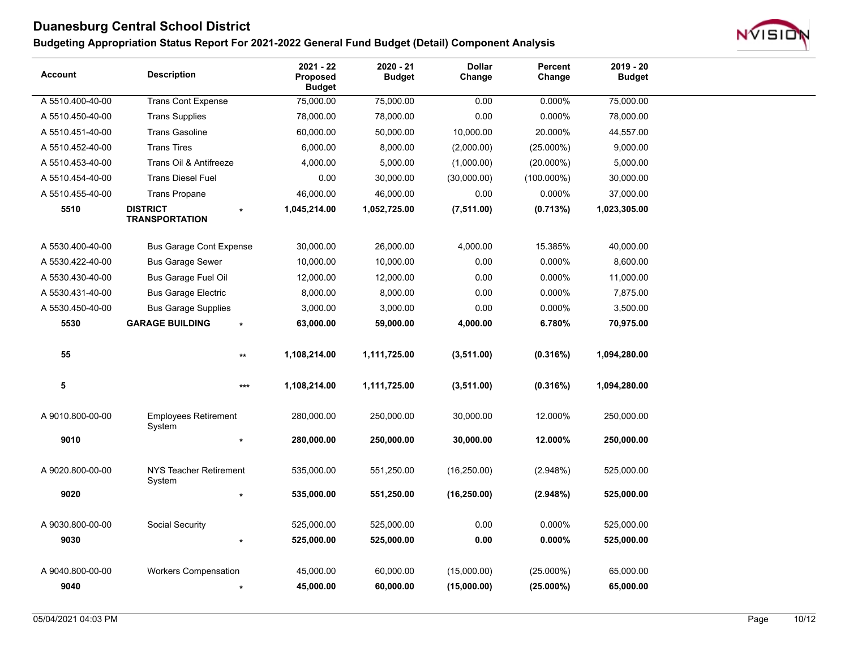

| <b>Account</b>   | <b>Description</b>                       | 2021 - 22<br><b>Proposed</b><br><b>Budget</b> | $2020 - 21$<br><b>Budget</b> | <b>Dollar</b><br>Change | Percent<br>Change | $2019 - 20$<br><b>Budget</b> |
|------------------|------------------------------------------|-----------------------------------------------|------------------------------|-------------------------|-------------------|------------------------------|
| A 5510.400-40-00 | <b>Trans Cont Expense</b>                | 75,000.00                                     | 75,000.00                    | 0.00                    | 0.000%            | 75,000.00                    |
| A 5510.450-40-00 | <b>Trans Supplies</b>                    | 78,000.00                                     | 78,000.00                    | 0.00                    | 0.000%            | 78,000.00                    |
| A 5510.451-40-00 | <b>Trans Gasoline</b>                    | 60,000.00                                     | 50,000.00                    | 10,000.00               | 20.000%           | 44,557.00                    |
| A 5510.452-40-00 | <b>Trans Tires</b>                       | 6,000.00                                      | 8,000.00                     | (2,000.00)              | $(25.000\%)$      | 9,000.00                     |
| A 5510.453-40-00 | Trans Oil & Antifreeze                   | 4,000.00                                      | 5,000.00                     | (1,000.00)              | $(20.000\%)$      | 5,000.00                     |
| A 5510.454-40-00 | <b>Trans Diesel Fuel</b>                 | 0.00                                          | 30,000.00                    | (30,000.00)             | $(100.000\%)$     | 30,000.00                    |
| A 5510.455-40-00 | <b>Trans Propane</b>                     | 46,000.00                                     | 46,000.00                    | 0.00                    | 0.000%            | 37,000.00                    |
| 5510             | <b>DISTRICT</b><br><b>TRANSPORTATION</b> | 1,045,214.00                                  | 1,052,725.00                 | (7,511.00)              | (0.713%)          | 1,023,305.00                 |
| A 5530.400-40-00 | <b>Bus Garage Cont Expense</b>           | 30,000.00                                     | 26,000.00                    | 4,000.00                | 15.385%           | 40,000.00                    |
| A 5530.422-40-00 | <b>Bus Garage Sewer</b>                  | 10,000.00                                     | 10,000.00                    | 0.00                    | 0.000%            | 8,600.00                     |
| A 5530.430-40-00 | <b>Bus Garage Fuel Oil</b>               | 12,000.00                                     | 12,000.00                    | 0.00                    | 0.000%            | 11,000.00                    |
| A 5530.431-40-00 | <b>Bus Garage Electric</b>               | 8,000.00                                      | 8,000.00                     | 0.00                    | 0.000%            | 7,875.00                     |
| A 5530.450-40-00 | <b>Bus Garage Supplies</b>               | 3,000.00                                      | 3,000.00                     | 0.00                    | 0.000%            | 3,500.00                     |
| 5530             | <b>GARAGE BUILDING</b><br>$\star$        | 63,000.00                                     | 59,000.00                    | 4,000.00                | 6.780%            | 70,975.00                    |
| 55               | $\star\star$                             | 1,108,214.00                                  | 1,111,725.00                 | (3,511.00)              | (0.316%)          | 1,094,280.00                 |
| 5                | $***$                                    | 1,108,214.00                                  | 1,111,725.00                 | (3,511.00)              | (0.316%)          | 1,094,280.00                 |
| A 9010.800-00-00 | <b>Employees Retirement</b><br>System    | 280,000.00                                    | 250,000.00                   | 30,000.00               | 12.000%           | 250,000.00                   |
| 9010             |                                          | 280,000.00                                    | 250,000.00                   | 30,000.00               | 12.000%           | 250,000.00                   |
| A 9020.800-00-00 | NYS Teacher Retirement<br>System         | 535,000.00                                    | 551,250.00                   | (16, 250.00)            | (2.948%)          | 525,000.00                   |
| 9020             |                                          | 535,000.00                                    | 551,250.00                   | (16, 250.00)            | (2.948%)          | 525,000.00                   |
| A 9030.800-00-00 | Social Security                          | 525,000.00                                    | 525,000.00                   | 0.00                    | 0.000%            | 525,000.00                   |
| 9030             |                                          | 525,000.00                                    | 525,000.00                   | 0.00                    | $0.000\%$         | 525,000.00                   |
| A 9040.800-00-00 | <b>Workers Compensation</b>              | 45,000.00                                     | 60,000.00                    | (15,000.00)             | $(25.000\%)$      | 65,000.00                    |
| 9040             |                                          | 45,000.00                                     | 60,000.00                    | (15,000.00)             | $(25.000\%)$      | 65,000.00                    |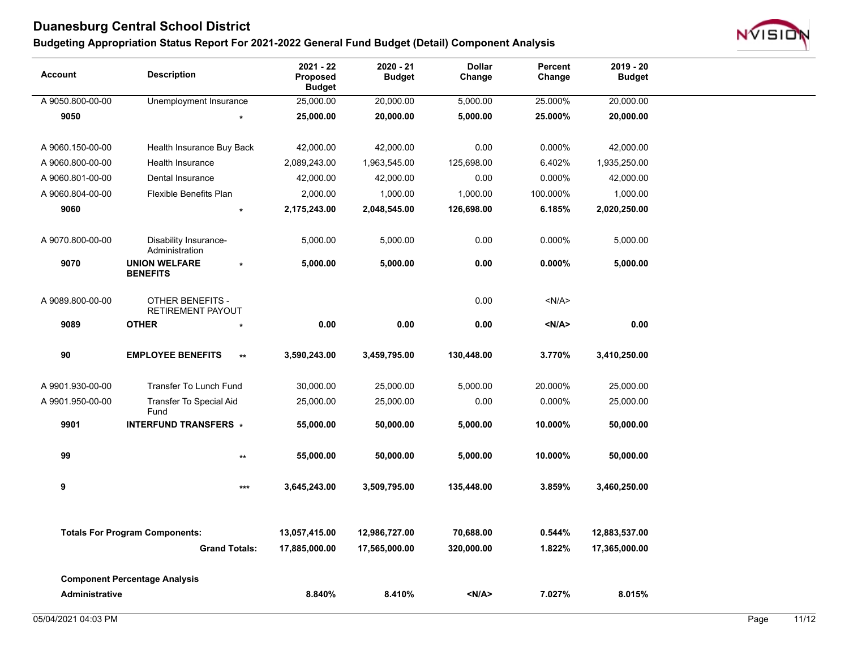

| <b>Account</b>        | <b>Description</b>                      |                      | 2021 - 22<br>Proposed<br><b>Budget</b> | 2020 - 21<br><b>Budget</b> | <b>Dollar</b><br>Change | Percent<br>Change | $2019 - 20$<br><b>Budget</b> |
|-----------------------|-----------------------------------------|----------------------|----------------------------------------|----------------------------|-------------------------|-------------------|------------------------------|
| A 9050.800-00-00      | Unemployment Insurance                  |                      | 25,000.00                              | 20,000.00                  | 5,000.00                | 25.000%           | 20,000.00                    |
| 9050                  |                                         | $\star$              | 25,000.00                              | 20,000.00                  | 5,000.00                | 25.000%           | 20,000.00                    |
| A 9060.150-00-00      | Health Insurance Buy Back               |                      | 42,000.00                              | 42,000.00                  | 0.00                    | 0.000%            | 42,000.00                    |
| A 9060.800-00-00      | Health Insurance                        |                      | 2,089,243.00                           | 1,963,545.00               | 125,698.00              | 6.402%            | 1,935,250.00                 |
| A 9060.801-00-00      | Dental Insurance                        |                      | 42,000.00                              | 42,000.00                  | 0.00                    | 0.000%            | 42,000.00                    |
| A 9060.804-00-00      | Flexible Benefits Plan                  |                      | 2,000.00                               | 1,000.00                   | 1,000.00                | 100.000%          | 1,000.00                     |
| 9060                  |                                         | $\star$              | 2,175,243.00                           | 2,048,545.00               | 126,698.00              | 6.185%            | 2,020,250.00                 |
| A 9070.800-00-00      | Disability Insurance-<br>Administration |                      | 5,000.00                               | 5,000.00                   | 0.00                    | 0.000%            | 5,000.00                     |
| 9070                  | <b>UNION WELFARE</b><br><b>BENEFITS</b> | $\star$              | 5,000.00                               | 5,000.00                   | 0.00                    | $0.000\%$         | 5,000.00                     |
| A 9089.800-00-00      | OTHER BENEFITS -<br>RETIREMENT PAYOUT   |                      |                                        |                            | 0.00                    | < N/A >           |                              |
| 9089                  | <b>OTHER</b>                            | $\star$              | 0.00                                   | 0.00                       | 0.00                    | < N/A >           | 0.00                         |
| 90                    | <b>EMPLOYEE BENEFITS</b>                | $\star\star$         | 3,590,243.00                           | 3,459,795.00               | 130,448.00              | 3.770%            | 3,410,250.00                 |
| A 9901.930-00-00      | Transfer To Lunch Fund                  |                      | 30,000.00                              | 25,000.00                  | 5,000.00                | 20.000%           | 25,000.00                    |
| A 9901.950-00-00      | <b>Transfer To Special Aid</b><br>Fund  |                      | 25,000.00                              | 25,000.00                  | 0.00                    | 0.000%            | 25,000.00                    |
| 9901                  | <b>INTERFUND TRANSFERS *</b>            |                      | 55,000.00                              | 50,000.00                  | 5,000.00                | 10.000%           | 50,000.00                    |
| 99                    |                                         | $\star\star$         | 55,000.00                              | 50,000.00                  | 5,000.00                | 10.000%           | 50,000.00                    |
| 9                     |                                         | $***$                | 3,645,243.00                           | 3,509,795.00               | 135,448.00              | 3.859%            | 3,460,250.00                 |
|                       | <b>Totals For Program Components:</b>   |                      |                                        | 12,986,727.00              | 70,688.00               | 0.544%            |                              |
|                       |                                         | <b>Grand Totals:</b> | 13,057,415.00                          |                            |                         |                   | 12,883,537.00                |
|                       |                                         |                      | 17,885,000.00                          | 17,565,000.00              | 320,000.00              | 1.822%            | 17,365,000.00                |
|                       | <b>Component Percentage Analysis</b>    |                      |                                        |                            |                         |                   |                              |
| <b>Administrative</b> |                                         |                      | 8.840%                                 | 8.410%                     | < N/A >                 | 7.027%            | 8.015%                       |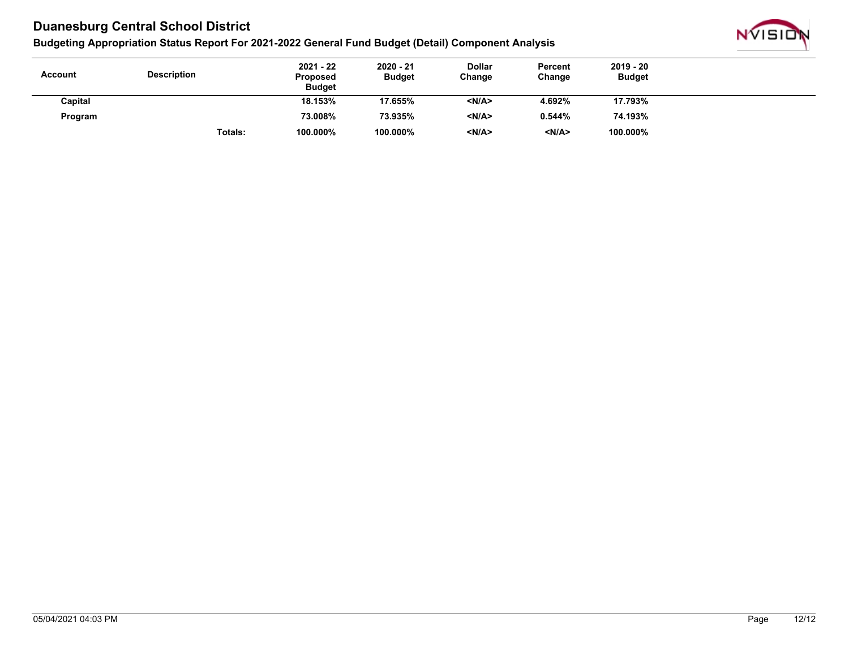

| <b>Account</b> | <b>Description</b> | $2021 - 22$<br><b>Proposed</b><br><b>Budget</b> | $2020 - 21$<br><b>Budget</b> | <b>Dollar</b><br>Change | Percent<br>Change | $2019 - 20$<br><b>Budget</b> |  |
|----------------|--------------------|-------------------------------------------------|------------------------------|-------------------------|-------------------|------------------------------|--|
| Capital        |                    | 18.153%                                         | 17.655%                      | < N/A                   | 4.692%            | 17.793%                      |  |
| Program        |                    | 73.008%                                         | 73.935%                      | < N/A                   | 0.544%            | 74.193%                      |  |
|                | Totals:            | 100.000%                                        | 100.000%                     | <n a=""></n>            | < N/A>            | 100.000%                     |  |